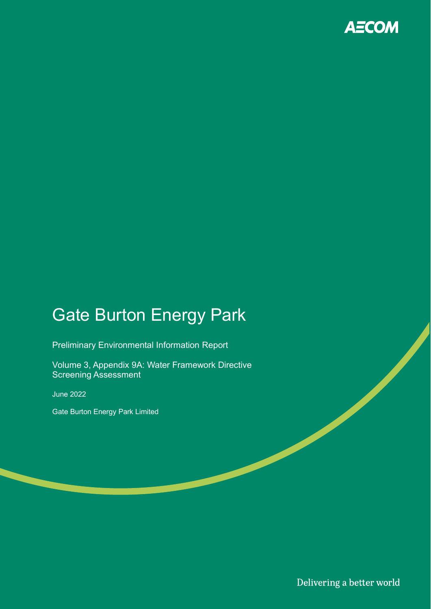

# Gate Burton Energy Park

Preliminary Environmental Information Report

Volume 3, Appendix 9A: Water Framework Directive Screening Assessment

June 2022

Gate Burton Energy Park Limited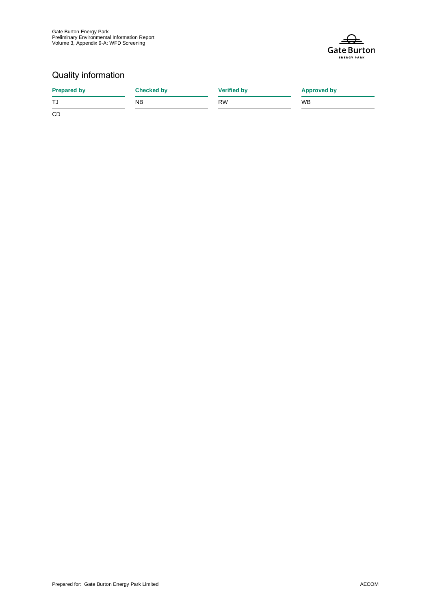

#### Quality information

| <b>Prepared by</b> | <b>Checked by</b> | <b>Verified by</b> | <b>Approved by</b> |  |
|--------------------|-------------------|--------------------|--------------------|--|
| TJ                 | NB                | <b>RW</b>          | <b>WB</b>          |  |
| CD                 |                   |                    |                    |  |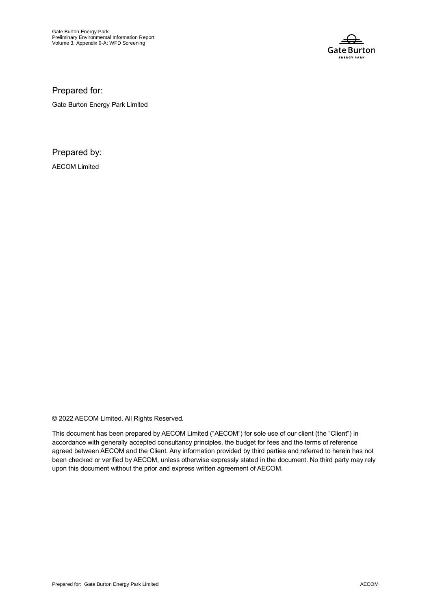

Prepared for:

Gate Burton Energy Park Limited

Prepared by:

AECOM Limited

© 2022 AECOM Limited. All Rights Reserved.

This document has been prepared by AECOM Limited ("AECOM") for sole use of our client (the "Client") in accordance with generally accepted consultancy principles, the budget for fees and the terms of reference agreed between AECOM and the Client. Any information provided by third parties and referred to herein has not been checked or verified by AECOM, unless otherwise expressly stated in the document. No third party may rely upon this document without the prior and express written agreement of AECOM.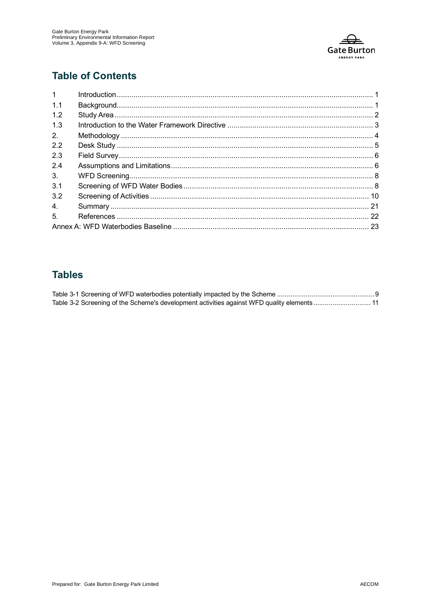

### **Table of Contents**

| 1 <sup>1</sup> |  |
|----------------|--|
| 1.1            |  |
| 1.2            |  |
| 1.3            |  |
| 2.             |  |
| 2.2            |  |
| 2.3            |  |
| 2.4            |  |
| 3 <sub>1</sub> |  |
| 3.1            |  |
| 3.2            |  |
| 4.             |  |
| 5.             |  |
|                |  |

### **Tables**

| Table 3-2 Screening of the Scheme's development activities against WFD quality elements 11 |  |
|--------------------------------------------------------------------------------------------|--|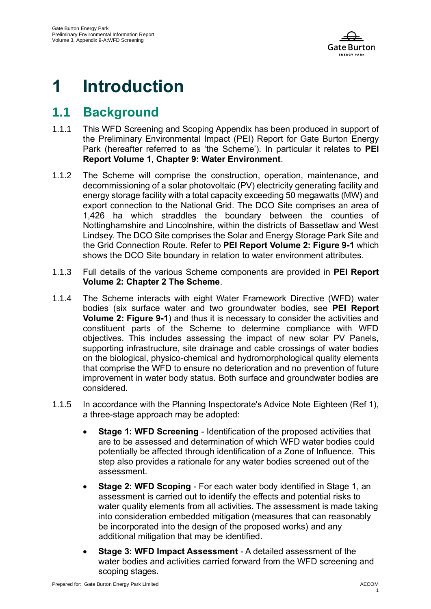

# **1 Introduction**

## **1.1 Background**

- 1.1.1 This WFD Screening and Scoping Appendix has been produced in support of the Preliminary Environmental Impact (PEI) Report for Gate Burton Energy Park (hereafter referred to as 'the Scheme'). In particular it relates to **PEI Report Volume 1, Chapter 9: Water Environment**.
- 1.1.2 The Scheme will comprise the construction, operation, maintenance, and decommissioning of a solar photovoltaic (PV) electricity generating facility and energy storage facility with a total capacity exceeding 50 megawatts (MW) and export connection to the National Grid. The DCO Site comprises an area of 1,426 ha which straddles the boundary between the counties of Nottinghamshire and Lincolnshire, within the districts of Bassetlaw and West Lindsey. The DCO Site comprises the Solar and Energy Storage Park Site and the Grid Connection Route. Refer to **PEI Report Volume 2: Figure 9-1** which shows the DCO Site boundary in relation to water environment attributes.
- 1.1.3 Full details of the various Scheme components are provided in **PEI Report Volume 2: Chapter 2 The Scheme**.
- 1.1.4 The Scheme interacts with eight Water Framework Directive (WFD) water bodies (six surface water and two groundwater bodies, see **PEI Report Volume 2: Figure 9-1**) and thus it is necessary to consider the activities and constituent parts of the Scheme to determine compliance with WFD objectives. This includes assessing the impact of new solar PV Panels, supporting infrastructure, site drainage and cable crossings of water bodies on the biological, physico-chemical and hydromorphological quality elements that comprise the WFD to ensure no deterioration and no prevention of future improvement in water body status. Both surface and groundwater bodies are considered.
- 1.1.5 In accordance with the Planning Inspectorate's Advice Note Eighteen (Ref 1), a three-stage approach may be adopted:
	- **Stage 1: WFD Screening Identification of the proposed activities that** are to be assessed and determination of which WFD water bodies could potentially be affected through identification of a Zone of Influence. This step also provides a rationale for any water bodies screened out of the assessment.
	- **Stage 2: WFD Scoping** For each water body identified in Stage 1, an assessment is carried out to identify the effects and potential risks to water quality elements from all activities. The assessment is made taking into consideration embedded mitigation (measures that can reasonably be incorporated into the design of the proposed works) and any additional mitigation that may be identified.
	- **Stage 3: WFD Impact Assessment** A detailed assessment of the water bodies and activities carried forward from the WFD screening and scoping stages.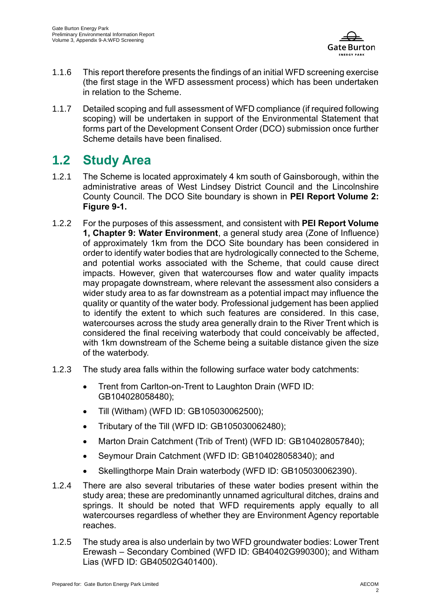

- 1.1.6 This report therefore presents the findings of an initial WFD screening exercise (the first stage in the WFD assessment process) which has been undertaken in relation to the Scheme.
- 1.1.7 Detailed scoping and full assessment of WFD compliance (if required following scoping) will be undertaken in support of the Environmental Statement that forms part of the Development Consent Order (DCO) submission once further Scheme details have been finalised.

## **1.2 Study Area**

- 1.2.1 The Scheme is located approximately 4 km south of Gainsborough, within the administrative areas of West Lindsey District Council and the Lincolnshire County Council. The DCO Site boundary is shown in **PEI Report Volume 2: Figure 9-1.**
- 1.2.2 For the purposes of this assessment, and consistent with **PEI Report Volume 1, Chapter 9: Water Environment**, a general study area (Zone of Influence) of approximately 1km from the DCO Site boundary has been considered in order to identify water bodies that are hydrologically connected to the Scheme, and potential works associated with the Scheme, that could cause direct impacts. However, given that watercourses flow and water quality impacts may propagate downstream, where relevant the assessment also considers a wider study area to as far downstream as a potential impact may influence the quality or quantity of the water body. Professional judgement has been applied to identify the extent to which such features are considered. In this case, watercourses across the study area generally drain to the River Trent which is considered the final receiving waterbody that could conceivably be affected, with 1km downstream of the Scheme being a suitable distance given the size of the waterbody.
- 1.2.3 The study area falls within the following surface water body catchments:
	- Trent from Carlton-on-Trent to Laughton Drain (WFD ID: GB104028058480);
	- Till (Witham) (WFD ID: GB105030062500);
	- Tributary of the Till (WFD ID: GB105030062480);
	- Marton Drain Catchment (Trib of Trent) (WFD ID: GB104028057840);
	- Seymour Drain Catchment (WFD ID: GB104028058340); and
	- Skellingthorpe Main Drain waterbody (WFD ID: GB105030062390).
- 1.2.4 There are also several tributaries of these water bodies present within the study area; these are predominantly unnamed agricultural ditches, drains and springs. It should be noted that WFD requirements apply equally to all watercourses regardless of whether they are Environment Agency reportable reaches.
- 1.2.5 The study area is also underlain by two WFD groundwater bodies: Lower Trent Erewash – Secondary Combined (WFD ID: GB40402G990300); and Witham Lias (WFD ID: GB40502G401400).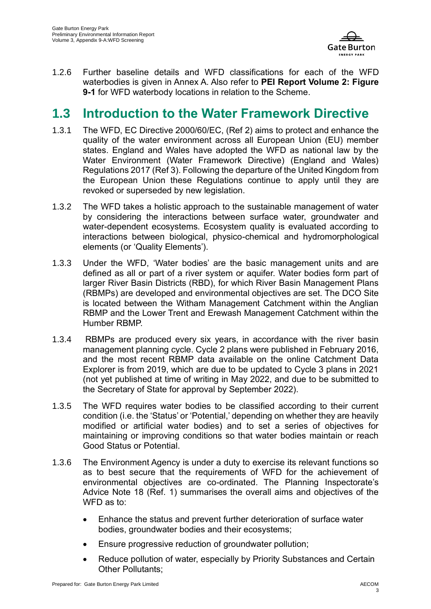

1.2.6 Further baseline details and WFD classifications for each of the WFD waterbodies is given in Annex A. Also refer to **PEI Report Volume 2: Figure 9-1** for WFD waterbody locations in relation to the Scheme.

### **1.3 Introduction to the Water Framework Directive**

- 1.3.1 The WFD, EC Directive 2000/60/EC, (Ref 2) aims to protect and enhance the quality of the water environment across all European Union (EU) member states. England and Wales have adopted the WFD as national law by the Water Environment (Water Framework Directive) (England and Wales) Regulations 2017 (Ref 3). Following the departure of the United Kingdom from the European Union these Regulations continue to apply until they are revoked or superseded by new legislation.
- 1.3.2 The WFD takes a holistic approach to the sustainable management of water by considering the interactions between surface water, groundwater and water-dependent ecosystems. Ecosystem quality is evaluated according to interactions between biological, physico-chemical and hydromorphological elements (or 'Quality Elements').
- 1.3.3 Under the WFD, 'Water bodies' are the basic management units and are defined as all or part of a river system or aquifer. Water bodies form part of larger River Basin Districts (RBD), for which River Basin Management Plans (RBMPs) are developed and environmental objectives are set. The DCO Site is located between the Witham Management Catchment within the Anglian RBMP and the Lower Trent and Erewash Management Catchment within the Humber RBMP.
- 1.3.4 RBMPs are produced every six years, in accordance with the river basin management planning cycle. Cycle 2 plans were published in February 2016, and the most recent RBMP data available on the online Catchment Data Explorer is from 2019, which are due to be updated to Cycle 3 plans in 2021 (not yet published at time of writing in May 2022, and due to be submitted to the Secretary of State for approval by September 2022).
- 1.3.5 The WFD requires water bodies to be classified according to their current condition (i.e. the 'Status' or 'Potential,' depending on whether they are heavily modified or artificial water bodies) and to set a series of objectives for maintaining or improving conditions so that water bodies maintain or reach Good Status or Potential.
- 1.3.6 The Environment Agency is under a duty to exercise its relevant functions so as to best secure that the requirements of WFD for the achievement of environmental objectives are co-ordinated. The Planning Inspectorate's Advice Note 18 (Ref. 1) summarises the overall aims and objectives of the WFD as to:
	- Enhance the status and prevent further deterioration of surface water bodies, groundwater bodies and their ecosystems;
	- Ensure progressive reduction of groundwater pollution;
	- Reduce pollution of water, especially by Priority Substances and Certain Other Pollutants;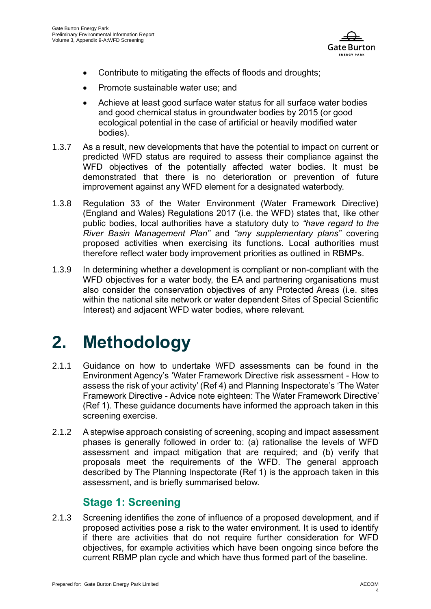

- Contribute to mitigating the effects of floods and droughts;
- Promote sustainable water use; and
- Achieve at least good surface water status for all surface water bodies and good chemical status in groundwater bodies by 2015 (or good ecological potential in the case of artificial or heavily modified water bodies).
- 1.3.7 As a result, new developments that have the potential to impact on current or predicted WFD status are required to assess their compliance against the WFD objectives of the potentially affected water bodies. It must be demonstrated that there is no deterioration or prevention of future improvement against any WFD element for a designated waterbody.
- 1.3.8 Regulation 33 of the Water Environment (Water Framework Directive) (England and Wales) Regulations 2017 (i.e. the WFD) states that, like other public bodies, local authorities have a statutory duty to *"have regard to the River Basin Management Plan"* and *"any supplementary plans"* covering proposed activities when exercising its functions. Local authorities must therefore reflect water body improvement priorities as outlined in RBMPs.
- 1.3.9 In determining whether a development is compliant or non-compliant with the WFD objectives for a water body, the EA and partnering organisations must also consider the conservation objectives of any Protected Areas (i.e. sites within the national site network or water dependent Sites of Special Scientific Interest) and adjacent WFD water bodies, where relevant.

# **2. Methodology**

- 2.1.1 Guidance on how to undertake WFD assessments can be found in the Environment Agency's 'Water Framework Directive risk assessment - How to assess the risk of your activity' (Ref 4) and Planning Inspectorate's 'The Water Framework Directive - Advice note eighteen: The Water Framework Directive' (Ref 1). These guidance documents have informed the approach taken in this screening exercise.
- 2.1.2 A stepwise approach consisting of screening, scoping and impact assessment phases is generally followed in order to: (a) rationalise the levels of WFD assessment and impact mitigation that are required; and (b) verify that proposals meet the requirements of the WFD. The general approach described by The Planning Inspectorate (Ref 1) is the approach taken in this assessment, and is briefly summarised below.

### **Stage 1: Screening**

2.1.3 Screening identifies the zone of influence of a proposed development, and if proposed activities pose a risk to the water environment. It is used to identify if there are activities that do not require further consideration for WFD objectives, for example activities which have been ongoing since before the current RBMP plan cycle and which have thus formed part of the baseline.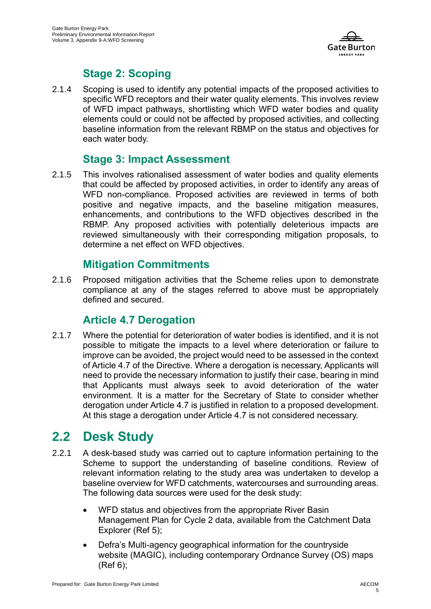

### **Stage 2: Scoping**

2.1.4 Scoping is used to identify any potential impacts of the proposed activities to specific WFD receptors and their water quality elements. This involves review of WFD impact pathways, shortlisting which WFD water bodies and quality elements could or could not be affected by proposed activities, and collecting baseline information from the relevant RBMP on the status and objectives for each water body.

### **Stage 3: Impact Assessment**

2.1.5 This involves rationalised assessment of water bodies and quality elements that could be affected by proposed activities, in order to identify any areas of WFD non-compliance. Proposed activities are reviewed in terms of both positive and negative impacts, and the baseline mitigation measures, enhancements, and contributions to the WFD objectives described in the RBMP. Any proposed activities with potentially deleterious impacts are reviewed simultaneously with their corresponding mitigation proposals, to determine a net effect on WFD objectives.

### **Mitigation Commitments**

2.1.6 Proposed mitigation activities that the Scheme relies upon to demonstrate compliance at any of the stages referred to above must be appropriately defined and secured.

### **Article 4.7 Derogation**

2.1.7 Where the potential for deterioration of water bodies is identified, and it is not possible to mitigate the impacts to a level where deterioration or failure to improve can be avoided, the project would need to be assessed in the context of Article 4.7 of the Directive. Where a derogation is necessary, Applicants will need to provide the necessary information to justify their case, bearing in mind that Applicants must always seek to avoid deterioration of the water environment. It is a matter for the Secretary of State to consider whether derogation under Article 4.7 is justified in relation to a proposed development. At this stage a derogation under Article 4.7 is not considered necessary.

## **2.2 Desk Study**

- 2.2.1 A desk-based study was carried out to capture information pertaining to the Scheme to support the understanding of baseline conditions. Review of relevant information relating to the study area was undertaken to develop a baseline overview for WFD catchments, watercourses and surrounding areas. The following data sources were used for the desk study:
	- WFD status and objectives from the appropriate River Basin Management Plan for Cycle 2 data, available from the Catchment Data Explorer (Ref 5);
	- Defra's Multi-agency geographical information for the countryside website (MAGIC), including contemporary Ordnance Survey (OS) maps (Ref 6);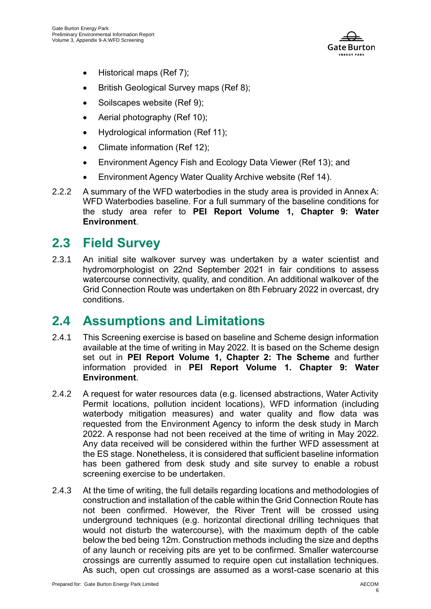

- Historical maps (Ref 7);
- British Geological Survey maps (Ref 8);
- Soilscapes website (Ref 9);
- Aerial photography (Ref 10);
- Hydrological information (Ref 11);
- Climate information (Ref 12):
- Environment Agency Fish and Ecology Data Viewer (Ref 13); and
- Environment Agency Water Quality Archive website (Ref 14).
- 2.2.2 A summary of the WFD waterbodies in the study area is provided in Annex A: WFD Waterbodies baseline. For a full summary of the baseline conditions for the study area refer to **PEI Report Volume 1, Chapter 9: Water Environment**.

## **2.3 Field Survey**

2.3.1 An initial site walkover survey was undertaken by a water scientist and hydromorphologist on 22nd September 2021 in fair conditions to assess watercourse connectivity, quality, and condition. An additional walkover of the Grid Connection Route was undertaken on 8th February 2022 in overcast, dry conditions.

## **2.4 Assumptions and Limitations**

- 2.4.1 This Screening exercise is based on baseline and Scheme design information available at the time of writing in May 2022. It is based on the Scheme design set out in **PEI Report Volume 1, Chapter 2: The Scheme** and further information provided in **PEI Report Volume 1. Chapter 9: Water Environment**.
- 2.4.2 A request for water resources data (e.g. licensed abstractions, Water Activity Permit locations, pollution incident locations), WFD information (including waterbody mitigation measures) and water quality and flow data was requested from the Environment Agency to inform the desk study in March 2022. A response had not been received at the time of writing in May 2022. Any data received will be considered within the further WFD assessment at the ES stage. Nonetheless, it is considered that sufficient baseline information has been gathered from desk study and site survey to enable a robust screening exercise to be undertaken.
- 2.4.3 At the time of writing, the full details regarding locations and methodologies of construction and installation of the cable within the Grid Connection Route has not been confirmed. However, the River Trent will be crossed using underground techniques (e.g. horizontal directional drilling techniques that would not disturb the watercourse), with the maximum depth of the cable below the bed being 12m. Construction methods including the size and depths of any launch or receiving pits are yet to be confirmed. Smaller watercourse crossings are currently assumed to require open cut installation techniques. As such, open cut crossings are assumed as a worst-case scenario at this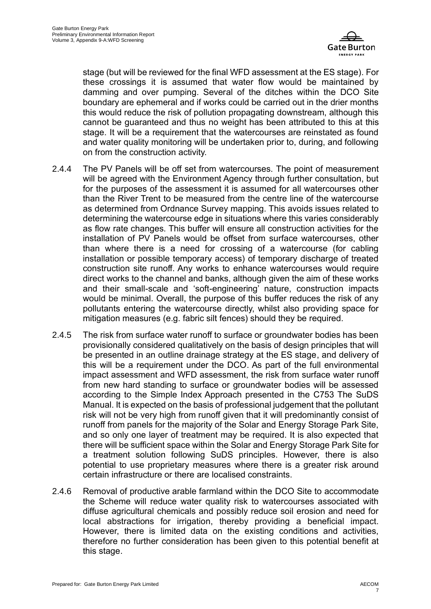

stage (but will be reviewed for the final WFD assessment at the ES stage). For these crossings it is assumed that water flow would be maintained by damming and over pumping. Several of the ditches within the DCO Site boundary are ephemeral and if works could be carried out in the drier months this would reduce the risk of pollution propagating downstream, although this cannot be guaranteed and thus no weight has been attributed to this at this stage. It will be a requirement that the watercourses are reinstated as found and water quality monitoring will be undertaken prior to, during, and following on from the construction activity.

- 2.4.4 The PV Panels will be off set from watercourses. The point of measurement will be agreed with the Environment Agency through further consultation, but for the purposes of the assessment it is assumed for all watercourses other than the River Trent to be measured from the centre line of the watercourse as determined from Ordnance Survey mapping. This avoids issues related to determining the watercourse edge in situations where this varies considerably as flow rate changes. This buffer will ensure all construction activities for the installation of PV Panels would be offset from surface watercourses, other than where there is a need for crossing of a watercourse (for cabling installation or possible temporary access) of temporary discharge of treated construction site runoff. Any works to enhance watercourses would require direct works to the channel and banks, although given the aim of these works and their small-scale and 'soft-engineering' nature, construction impacts would be minimal. Overall, the purpose of this buffer reduces the risk of any pollutants entering the watercourse directly, whilst also providing space for mitigation measures (e.g. fabric silt fences) should they be required.
- 2.4.5 The risk from surface water runoff to surface or groundwater bodies has been provisionally considered qualitatively on the basis of design principles that will be presented in an outline drainage strategy at the ES stage, and delivery of this will be a requirement under the DCO. As part of the full environmental impact assessment and WFD assessment, the risk from surface water runoff from new hard standing to surface or groundwater bodies will be assessed according to the Simple Index Approach presented in the C753 The SuDS Manual. It is expected on the basis of professional judgement that the pollutant risk will not be very high from runoff given that it will predominantly consist of runoff from panels for the majority of the Solar and Energy Storage Park Site, and so only one layer of treatment may be required. It is also expected that there will be sufficient space within the Solar and Energy Storage Park Site for a treatment solution following SuDS principles. However, there is also potential to use proprietary measures where there is a greater risk around certain infrastructure or there are localised constraints.
- 2.4.6 Removal of productive arable farmland within the DCO Site to accommodate the Scheme will reduce water quality risk to watercourses associated with diffuse agricultural chemicals and possibly reduce soil erosion and need for local abstractions for irrigation, thereby providing a beneficial impact. However, there is limited data on the existing conditions and activities, therefore no further consideration has been given to this potential benefit at this stage.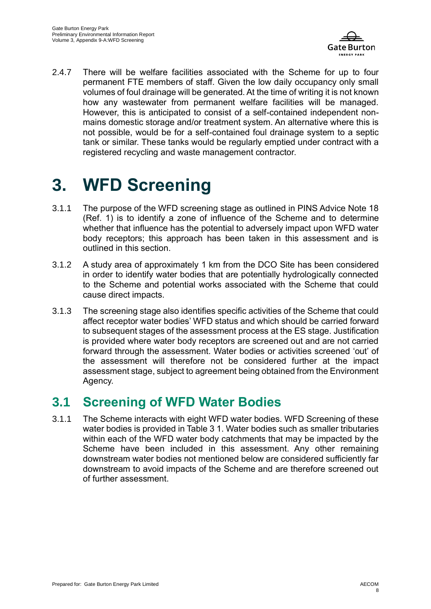

2.4.7 There will be welfare facilities associated with the Scheme for up to four permanent FTE members of staff. Given the low daily occupancy only small volumes of foul drainage will be generated. At the time of writing it is not known how any wastewater from permanent welfare facilities will be managed. However, this is anticipated to consist of a self-contained independent nonmains domestic storage and/or treatment system. An alternative where this is not possible, would be for a self-contained foul drainage system to a septic tank or similar. These tanks would be regularly emptied under contract with a registered recycling and waste management contractor.

# **3. WFD Screening**

- 3.1.1 The purpose of the WFD screening stage as outlined in PINS Advice Note 18 (Ref. 1) is to identify a zone of influence of the Scheme and to determine whether that influence has the potential to adversely impact upon WFD water body receptors; this approach has been taken in this assessment and is outlined in this section.
- 3.1.2 A study area of approximately 1 km from the DCO Site has been considered in order to identify water bodies that are potentially hydrologically connected to the Scheme and potential works associated with the Scheme that could cause direct impacts.
- 3.1.3 The screening stage also identifies specific activities of the Scheme that could affect receptor water bodies' WFD status and which should be carried forward to subsequent stages of the assessment process at the ES stage. Justification is provided where water body receptors are screened out and are not carried forward through the assessment. Water bodies or activities screened 'out' of the assessment will therefore not be considered further at the impact assessment stage, subject to agreement being obtained from the Environment Agency.

## **3.1 Screening of WFD Water Bodies**

3.1.1 The Scheme interacts with eight WFD water bodies. WFD Screening of these water bodies is provided in Table 3 1. Water bodies such as smaller tributaries within each of the WFD water body catchments that may be impacted by the Scheme have been included in this assessment. Any other remaining downstream water bodies not mentioned below are considered sufficiently far downstream to avoid impacts of the Scheme and are therefore screened out of further assessment.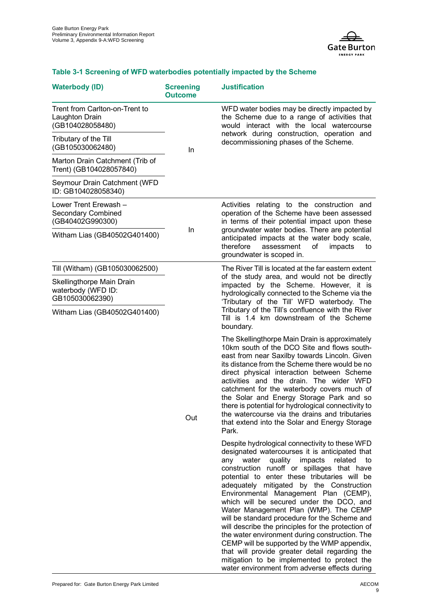

#### **Waterbody (ID) Screening Outcome Justification** Trent from Carlton-on-Trent to Laughton Drain (GB104028058480) In WFD water bodies may be directly impacted by the Scheme due to a range of activities that would interact with the local watercourse network during construction, operation and decommissioning phases of the Scheme. Tributary of the Till (GB105030062480) Marton Drain Catchment (Trib of Trent) (GB104028057840) Seymour Drain Catchment (WFD ID: GB104028058340) Lower Trent Erewash – Secondary Combined (GB40402G990300) In Activities relating to the construction and operation of the Scheme have been assessed in terms of their potential impact upon these groundwater water bodies. There are potential anticipated impacts at the water body scale, therefore assessment of impacts to groundwater is scoped in. Witham Lias (GB40502G401400) Till (Witham) (GB105030062500) Out The River Till is located at the far eastern extent of the study area, and would not be directly impacted by the Scheme. However, it is hydrologically connected to the Scheme via the 'Tributary of the Till' WFD waterbody. The Tributary of the Till's confluence with the River Till is 1.4 km downstream of the Scheme boundary. The Skellingthorpe Main Drain is approximately 10km south of the DCO Site and flows southeast from near Saxilby towards Lincoln. Given its distance from the Scheme there would be no direct physical interaction between Scheme activities and the drain. The wider WFD catchment for the waterbody covers much of the Solar and Energy Storage Park and so there is potential for hydrological connectivity to the watercourse via the drains and tributaries that extend into the Solar and Energy Storage Park. Despite hydrological connectivity to these WFD designated watercourses it is anticipated that any water quality impacts related to construction runoff or spillages that have potential to enter these tributaries will be adequately mitigated by the Construction Environmental Management Plan (CEMP), which will be secured under the DCO, and Water Management Plan (WMP). The CEMP will be standard procedure for the Scheme and will describe the principles for the protection of the water environment during construction. The CEMP will be supported by the WMP appendix, that will provide greater detail regarding the mitigation to be implemented to protect the Skellingthorpe Main Drain waterbody (WFD ID: GB105030062390) Witham Lias (GB40502G401400)

#### **Table 3-1 Screening of WFD waterbodies potentially impacted by the Scheme**

water environment from adverse effects during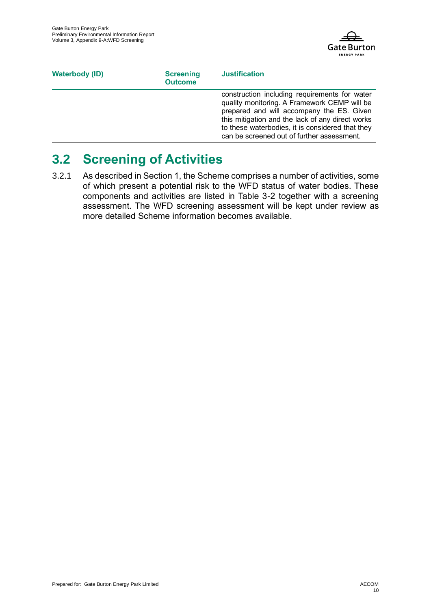

| <b>Waterbody (ID)</b> | <b>Screening</b><br><b>Outcome</b> | <b>Justification</b>                                                                                                                                                                                                                                                                             |
|-----------------------|------------------------------------|--------------------------------------------------------------------------------------------------------------------------------------------------------------------------------------------------------------------------------------------------------------------------------------------------|
|                       |                                    | construction including requirements for water<br>quality monitoring. A Framework CEMP will be<br>prepared and will accompany the ES. Given<br>this mitigation and the lack of any direct works<br>to these waterbodies, it is considered that they<br>can be screened out of further assessment. |

## **3.2 Screening of Activities**

3.2.1 As described in Section 1, the Scheme comprises a number of activities, some of which present a potential risk to the WFD status of water bodies. These components and activities are listed in Table 3-2 together with a screening assessment. The WFD screening assessment will be kept under review as more detailed Scheme information becomes available.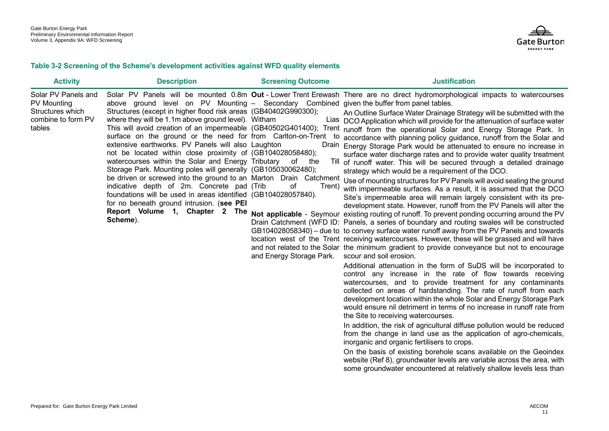

#### **Table 3-2 Screening of the Scheme's development activities against WFD quality elements**

| <b>Activity</b>                                                                               | <b>Description</b>                                                                                                                                                                                                                                                                                                                                                                                                                                                                                                                                                                                                                                                                                                                        | <b>Screening Outcome</b>                                 | <b>Justification</b>                                                                                                                                                                                                                                                                                                                                                                                                                                                                                                                                                                                                                                                                                                                                                                                                                                                                                                                                                                                                                                                                                                                                                                                                                                                                                                                                                                                                                                                                                                                                                                                                                                                                                                                                                                                                                                                                                                                                                                                                                                                                                                                                                                                                                                                                                                                                                                                                                                                                                                                                                      |
|-----------------------------------------------------------------------------------------------|-------------------------------------------------------------------------------------------------------------------------------------------------------------------------------------------------------------------------------------------------------------------------------------------------------------------------------------------------------------------------------------------------------------------------------------------------------------------------------------------------------------------------------------------------------------------------------------------------------------------------------------------------------------------------------------------------------------------------------------------|----------------------------------------------------------|---------------------------------------------------------------------------------------------------------------------------------------------------------------------------------------------------------------------------------------------------------------------------------------------------------------------------------------------------------------------------------------------------------------------------------------------------------------------------------------------------------------------------------------------------------------------------------------------------------------------------------------------------------------------------------------------------------------------------------------------------------------------------------------------------------------------------------------------------------------------------------------------------------------------------------------------------------------------------------------------------------------------------------------------------------------------------------------------------------------------------------------------------------------------------------------------------------------------------------------------------------------------------------------------------------------------------------------------------------------------------------------------------------------------------------------------------------------------------------------------------------------------------------------------------------------------------------------------------------------------------------------------------------------------------------------------------------------------------------------------------------------------------------------------------------------------------------------------------------------------------------------------------------------------------------------------------------------------------------------------------------------------------------------------------------------------------------------------------------------------------------------------------------------------------------------------------------------------------------------------------------------------------------------------------------------------------------------------------------------------------------------------------------------------------------------------------------------------------------------------------------------------------------------------------------------------------|
| Solar PV Panels and<br><b>PV Mounting</b><br>Structures which<br>combine to form PV<br>tables | above ground level on PV Mounting – Secondary Combined given the buffer from panel tables.<br>Structures (except in higher flood risk areas (GB40402G990300);<br>where they will be 1.1m above ground level). Witham<br>surface on the ground or the need for from Carlton-on-Trent<br>extensive earthworks. PV Panels will also Laughton<br>not be located within close proximity of (GB104028058480);<br>watercourses within the Solar and Energy Tributary<br>Storage Park. Mounting poles will generally (GB105030062480);<br>indicative depth of 2m. Concrete pad (Trib<br>foundations will be used in areas identified (GB104028057840).<br>for no beneath ground intrusion. (see PEI<br>Report Volume 1, Chapter 2 The<br>Scheme). | to<br>of the<br>of<br>Trent)<br>and Energy Storage Park. | Solar PV Panels will be mounted 0.8m Out - Lower Trent Erewash There are no direct hydromorphological impacts to watercourses<br>An Outline Surface Water Drainage Strategy will be submitted with the<br>Lias DCO Application which will provide for the attenuation of surface water<br>This will avoid creation of an impermeable (GB40502G401400); Trent runoff from the operational Solar and Energy Storage Park. In<br>accordance with planning policy guidance, runoff from the Solar and<br>Drain Energy Storage Park would be attenuated to ensure no increase in<br>surface water discharge rates and to provide water quality treatment<br>Till of runoff water. This will be secured through a detailed drainage<br>strategy which would be a requirement of the DCO.<br>be driven or screwed into the ground to an Marton Drain Catchment Use of mounting structures for PV Panels will avoid sealing the ground<br>with impermeable surfaces. As a result, it is assumed that the DCO<br>Site's impermeable area will remain largely consistent with its pre-<br>development state. However, runoff from the PV Panels will alter the<br>Not applicable - Seymour existing routing of runoff. To prevent ponding occurring around the PV<br>Drain Catchment (WFD ID: Panels, a series of boundary and routing swales will be constructed<br>GB104028058340) – due to to convey surface water runoff away from the PV Panels and towards<br>location west of the Trent receiving watercourses. However, these will be grassed and will have<br>and not related to the Solar the minimum gradient to provide conveyance but not to encourage<br>scour and soil erosion.<br>Additional attenuation in the form of SuDS will be incorporated to<br>control any increase in the rate of flow towards receiving<br>watercourses, and to provide treatment for any contaminants<br>collected on areas of hardstanding. The rate of runoff from each<br>development location within the whole Solar and Energy Storage Park<br>would ensure nil detriment in terms of no increase in runoff rate from<br>the Site to receiving watercourses.<br>In addition, the risk of agricultural diffuse pollution would be reduced<br>from the change in land use as the application of agro-chemicals,<br>inorganic and organic fertilisers to crops.<br>On the basis of existing borehole scans available on the Geoindex<br>website (Ref 8), groundwater levels are variable across the area, with<br>some groundwater encountered at relatively shallow levels less than |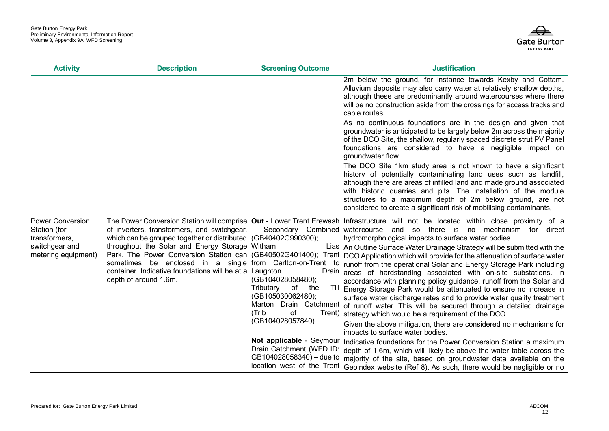

| <b>Activity</b>                                                                                   | <b>Description</b>                                                                                                                                                                                                                                              | <b>Screening Outcome</b>                                                                                                         | <b>Justification</b>                                                                                                                                                                                                                                                                                                                                                                                                                                                                                                                                                                                                                                                                                                                                                                                                                                                                                                                                                                                                                                                                                                                                                                                                                                       |
|---------------------------------------------------------------------------------------------------|-----------------------------------------------------------------------------------------------------------------------------------------------------------------------------------------------------------------------------------------------------------------|----------------------------------------------------------------------------------------------------------------------------------|------------------------------------------------------------------------------------------------------------------------------------------------------------------------------------------------------------------------------------------------------------------------------------------------------------------------------------------------------------------------------------------------------------------------------------------------------------------------------------------------------------------------------------------------------------------------------------------------------------------------------------------------------------------------------------------------------------------------------------------------------------------------------------------------------------------------------------------------------------------------------------------------------------------------------------------------------------------------------------------------------------------------------------------------------------------------------------------------------------------------------------------------------------------------------------------------------------------------------------------------------------|
|                                                                                                   |                                                                                                                                                                                                                                                                 |                                                                                                                                  | 2m below the ground, for instance towards Kexby and Cottam.<br>Alluvium deposits may also carry water at relatively shallow depths,<br>although these are predominantly around watercourses where there<br>will be no construction aside from the crossings for access tracks and<br>cable routes.                                                                                                                                                                                                                                                                                                                                                                                                                                                                                                                                                                                                                                                                                                                                                                                                                                                                                                                                                         |
|                                                                                                   |                                                                                                                                                                                                                                                                 |                                                                                                                                  | As no continuous foundations are in the design and given that<br>groundwater is anticipated to be largely below 2m across the majority<br>of the DCO Site, the shallow, regularly spaced discrete strut PV Panel<br>foundations are considered to have a negligible impact on<br>groundwater flow.                                                                                                                                                                                                                                                                                                                                                                                                                                                                                                                                                                                                                                                                                                                                                                                                                                                                                                                                                         |
|                                                                                                   |                                                                                                                                                                                                                                                                 |                                                                                                                                  | The DCO Site 1km study area is not known to have a significant<br>history of potentially contaminating land uses such as landfill,<br>although there are areas of infilled land and made ground associated<br>with historic quarries and pits. The installation of the module<br>structures to a maximum depth of 2m below ground, are not<br>considered to create a significant risk of mobilising contaminants,                                                                                                                                                                                                                                                                                                                                                                                                                                                                                                                                                                                                                                                                                                                                                                                                                                          |
| <b>Power Conversion</b><br>Station (for<br>transformers,<br>switchgear and<br>metering equipment) | which can be grouped together or distributed (GB40402G990300);<br>throughout the Solar and Energy Storage Witham<br>sometimes be enclosed in a single from Carlton-on-Trent<br>container. Indicative foundations will be at a Laughton<br>depth of around 1.6m. | (GB104028058480);<br>Tributary<br>of<br>the<br>(GB105030062480);<br>of<br>(Trib<br>(GB104028057840).<br>Not applicable - Seymour | The Power Conversion Station will comprise Out - Lower Trent Erewash Infrastructure will not be located within close proximity of a<br>of inverters, transformers, and switchgear, - Secondary Combined watercourse and so there is no mechanism for direct<br>hydromorphological impacts to surface water bodies.<br>Lias An Outline Surface Water Drainage Strategy will be submitted with the<br>Park. The Power Conversion Station can (GB40502G401400); Trent DCO Application which will provide for the attenuation of surface water<br>to runoff from the operational Solar and Energy Storage Park including<br>Drain areas of hardstanding associated with on-site substations. In<br>accordance with planning policy guidance, runoff from the Solar and<br>Till Energy Storage Park would be attenuated to ensure no increase in<br>surface water discharge rates and to provide water quality treatment<br>Marton Drain Catchment of runoff water. This will be secured through a detailed drainage<br>Trent) strategy which would be a requirement of the DCO.<br>Given the above mitigation, there are considered no mechanisms for<br>impacts to surface water bodies.<br>Indicative foundations for the Power Conversion Station a maximum |
|                                                                                                   |                                                                                                                                                                                                                                                                 | Drain Catchment (WFD ID:                                                                                                         | depth of 1.6m, which will likely be above the water table across the<br>GB104028058340) - due to majority of the site, based on groundwater data available on the<br>location west of the Trent Geoindex website (Ref 8). As such, there would be negligible or no                                                                                                                                                                                                                                                                                                                                                                                                                                                                                                                                                                                                                                                                                                                                                                                                                                                                                                                                                                                         |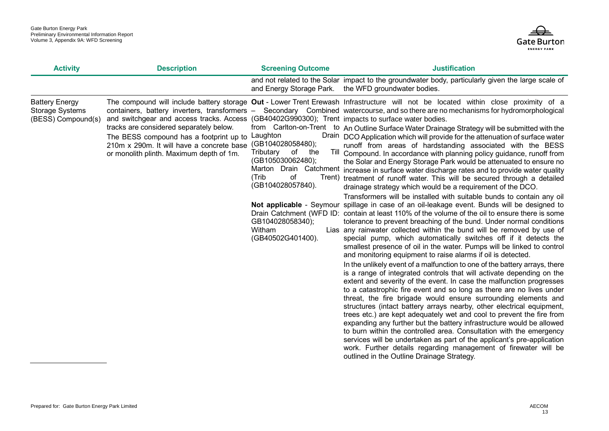

| <b>Activity</b>                                                       | <b>Description</b>                                                                                                                                                                                                                                                                                                                | <b>Screening Outcome</b>                                                                                                                                            | <b>Justification</b>                                                                                                                                                                                                                                                                                                                                                                                                                                                                                                                                                                                                                                                                                                                                                                                                                                                                                                                                                                                                                                                                                                                                                                                                                                                                                                                                                                                                                                                                                                                                                                                                                                                                                                                                                                                                                                                                                                                                                                                                                                                                                                                                                                                                                                                                                                                                                                       |
|-----------------------------------------------------------------------|-----------------------------------------------------------------------------------------------------------------------------------------------------------------------------------------------------------------------------------------------------------------------------------------------------------------------------------|---------------------------------------------------------------------------------------------------------------------------------------------------------------------|--------------------------------------------------------------------------------------------------------------------------------------------------------------------------------------------------------------------------------------------------------------------------------------------------------------------------------------------------------------------------------------------------------------------------------------------------------------------------------------------------------------------------------------------------------------------------------------------------------------------------------------------------------------------------------------------------------------------------------------------------------------------------------------------------------------------------------------------------------------------------------------------------------------------------------------------------------------------------------------------------------------------------------------------------------------------------------------------------------------------------------------------------------------------------------------------------------------------------------------------------------------------------------------------------------------------------------------------------------------------------------------------------------------------------------------------------------------------------------------------------------------------------------------------------------------------------------------------------------------------------------------------------------------------------------------------------------------------------------------------------------------------------------------------------------------------------------------------------------------------------------------------------------------------------------------------------------------------------------------------------------------------------------------------------------------------------------------------------------------------------------------------------------------------------------------------------------------------------------------------------------------------------------------------------------------------------------------------------------------------------------------------|
|                                                                       |                                                                                                                                                                                                                                                                                                                                   | and Energy Storage Park.                                                                                                                                            | and not related to the Solar impact to the groundwater body, particularly given the large scale of<br>the WFD groundwater bodies.                                                                                                                                                                                                                                                                                                                                                                                                                                                                                                                                                                                                                                                                                                                                                                                                                                                                                                                                                                                                                                                                                                                                                                                                                                                                                                                                                                                                                                                                                                                                                                                                                                                                                                                                                                                                                                                                                                                                                                                                                                                                                                                                                                                                                                                          |
| <b>Battery Energy</b><br><b>Storage Systems</b><br>(BESS) Compound(s) | containers, battery inverters, transformers -<br>and switchgear and access tracks. Access (GB40402G990300); Trent impacts to surface water bodies.<br>tracks are considered separately below.<br>The BESS compound has a footprint up to<br>210m x 290m. It will have a concrete base<br>or monolith plinth. Maximum depth of 1m. | Laughton<br>(GB104028058480);<br>Tributary<br>of<br>the<br>(GB105030062480);<br>(Trib<br>of<br>(GB104028057840).<br>GB104028058340);<br>Witham<br>(GB40502G401400). | The compound will include battery storage Out - Lower Trent Erewash Infrastructure will not be located within close proximity of a<br>Secondary Combined watercourse, and so there are no mechanisms for hydromorphological<br>from Carlton-on-Trent to An Outline Surface Water Drainage Strategy will be submitted with the<br>Drain DCO Application which will provide for the attenuation of surface water<br>runoff from areas of hardstanding associated with the BESS<br>Till Compound. In accordance with planning policy guidance, runoff from<br>the Solar and Energy Storage Park would be attenuated to ensure no<br>Marton Drain Catchment increase in surface water discharge rates and to provide water quality<br>Trent) treatment of runoff water. This will be secured through a detailed<br>drainage strategy which would be a requirement of the DCO.<br>Transformers will be installed with suitable bunds to contain any oil<br>Not applicable - Seymour spillage in case of an oil-leakage event. Bunds will be designed to<br>Drain Catchment (WFD ID: contain at least 110% of the volume of the oil to ensure there is some<br>tolerance to prevent breaching of the bund. Under normal conditions<br>Lias any rainwater collected within the bund will be removed by use of<br>special pump, which automatically switches off if it detects the<br>smallest presence of oil in the water. Pumps will be linked to control<br>and monitoring equipment to raise alarms if oil is detected.<br>In the unlikely event of a malfunction to one of the battery arrays, there<br>is a range of integrated controls that will activate depending on the<br>extent and severity of the event. In case the malfunction progresses<br>to a catastrophic fire event and so long as there are no lives under<br>threat, the fire brigade would ensure surrounding elements and<br>structures (intact battery arrays nearby, other electrical equipment,<br>trees etc.) are kept adequately wet and cool to prevent the fire from<br>expanding any further but the battery infrastructure would be allowed<br>to burn within the controlled area. Consultation with the emergency<br>services will be undertaken as part of the applicant's pre-application<br>work. Further details regarding management of firewater will be<br>outlined in the Outline Drainage Strategy. |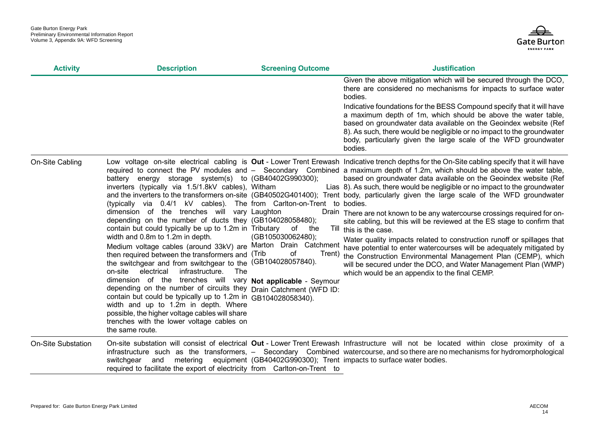

| <b>Activity</b>           | <b>Description</b>                                                                                                                                                                                                                                                                                                                                                                                                                                                                                                                                                                                                                                                                                                                                                                                                                                                                                                                                                                                     | <b>Screening Outcome</b>                       | <b>Justification</b>                                                                                                                                                                                                                                                                                                                                                                                                                                                                                                                                                                                                                                                                                                                                                                                                                                                                                                                                                                                                                                                                              |
|---------------------------|--------------------------------------------------------------------------------------------------------------------------------------------------------------------------------------------------------------------------------------------------------------------------------------------------------------------------------------------------------------------------------------------------------------------------------------------------------------------------------------------------------------------------------------------------------------------------------------------------------------------------------------------------------------------------------------------------------------------------------------------------------------------------------------------------------------------------------------------------------------------------------------------------------------------------------------------------------------------------------------------------------|------------------------------------------------|---------------------------------------------------------------------------------------------------------------------------------------------------------------------------------------------------------------------------------------------------------------------------------------------------------------------------------------------------------------------------------------------------------------------------------------------------------------------------------------------------------------------------------------------------------------------------------------------------------------------------------------------------------------------------------------------------------------------------------------------------------------------------------------------------------------------------------------------------------------------------------------------------------------------------------------------------------------------------------------------------------------------------------------------------------------------------------------------------|
|                           |                                                                                                                                                                                                                                                                                                                                                                                                                                                                                                                                                                                                                                                                                                                                                                                                                                                                                                                                                                                                        |                                                | Given the above mitigation which will be secured through the DCO,<br>there are considered no mechanisms for impacts to surface water<br>bodies.<br>Indicative foundations for the BESS Compound specify that it will have<br>a maximum depth of 1m, which should be above the water table,<br>based on groundwater data available on the Geoindex website (Ref<br>8). As such, there would be negligible or no impact to the groundwater<br>body, particularly given the large scale of the WFD groundwater<br>bodies.                                                                                                                                                                                                                                                                                                                                                                                                                                                                                                                                                                            |
| On-Site Cabling           | battery energy storage system(s) to (GB40402G990300);<br>inverters (typically via 1.5/1.8kV cables), Witham<br>(typically via 0.4/1 kV cables). The from Carlton-on-Trent to bodies.<br>dimension of the trenches will vary Laughton<br>depending on the number of ducts they (GB104028058480);<br>contain but could typically be up to 1.2m in Tributary<br>width and 0.8m to 1.2m in depth.<br>Medium voltage cables (around 33kV) are Marton Drain Catchment<br>then required between the transformers and (Trib)<br>the switchgear and from switchgear to the (GB104028057840).<br>electrical<br>on-site<br>infrastructure.<br>The<br>dimension of the trenches will vary Not applicable - Seymour<br>depending on the number of circuits they Drain Catchment (WFD ID:<br>contain but could be typically up to 1.2m in GB104028058340).<br>width and up to 1.2m in depth. Where<br>possible, the higher voltage cables will share<br>trenches with the lower voltage cables on<br>the same route. | of<br>the<br>(GB105030062480);<br>οf<br>Trent) | Low voltage on-site electrical cabling is Out - Lower Trent Erewash Indicative trench depths for the On-Site cabling specify that it will have<br>required to connect the PV modules and – Secondary Combined a maximum depth of 1.2m, which should be above the water table,<br>based on groundwater data available on the Geoindex website (Ref<br>Lias 8). As such, there would be negligible or no impact to the groundwater<br>and the inverters to the transformers on-site (GB40502G401400); Trent body, particularly given the large scale of the WFD groundwater<br>Drain There are not known to be any watercourse crossings required for on-<br>site cabling, but this will be reviewed at the ES stage to confirm that<br>Till this is the case.<br>Water quality impacts related to construction runoff or spillages that<br>have potential to enter watercourses will be adequately mitigated by<br>the Construction Environmental Management Plan (CEMP), which<br>will be secured under the DCO, and Water Management Plan (WMP)<br>which would be an appendix to the final CEMP. |
| <b>On-Site Substation</b> | switchgear<br>and<br>required to facilitate the export of electricity from Carlton-on-Trent to                                                                                                                                                                                                                                                                                                                                                                                                                                                                                                                                                                                                                                                                                                                                                                                                                                                                                                         |                                                | On-site substation will consist of electrical Out - Lower Trent Erewash Infrastructure will not be located within close proximity of a<br>infrastructure such as the transformers, - Secondary Combined watercourse, and so there are no mechanisms for hydromorphological<br>metering equipment (GB40402G990300); Trent impacts to surface water bodies.                                                                                                                                                                                                                                                                                                                                                                                                                                                                                                                                                                                                                                                                                                                                         |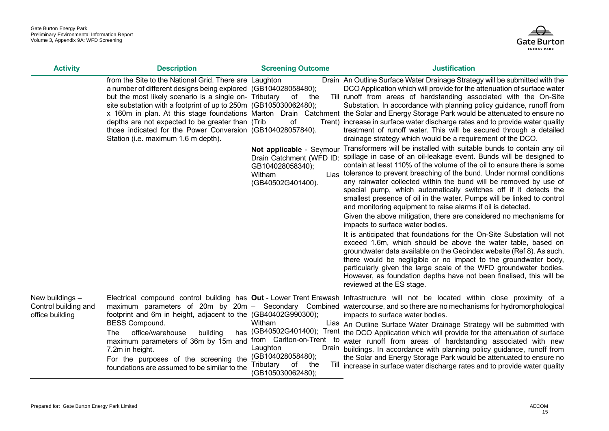

| <b>Activity</b>                                            | <b>Description</b>                                                                                                                                                                                                                                                                                                                                                                                              | <b>Screening Outcome</b>                                                                                              | <b>Justification</b>                                                                                                                                                                                                                                                                                                                                                                                                                                                                                                                                                                                                                                                                                                                                                          |
|------------------------------------------------------------|-----------------------------------------------------------------------------------------------------------------------------------------------------------------------------------------------------------------------------------------------------------------------------------------------------------------------------------------------------------------------------------------------------------------|-----------------------------------------------------------------------------------------------------------------------|-------------------------------------------------------------------------------------------------------------------------------------------------------------------------------------------------------------------------------------------------------------------------------------------------------------------------------------------------------------------------------------------------------------------------------------------------------------------------------------------------------------------------------------------------------------------------------------------------------------------------------------------------------------------------------------------------------------------------------------------------------------------------------|
|                                                            | from the Site to the National Grid. There are Laughton<br>a number of different designs being explored (GB104028058480);<br>but the most likely scenario is a single on- Tributary<br>site substation with a footprint of up to 250m (GB105030062480);<br>depths are not expected to be greater than (Trib<br>those indicated for the Power Conversion (GB104028057840).<br>Station (i.e. maximum 1.6 m depth). | of<br>the<br>of                                                                                                       | Drain An Outline Surface Water Drainage Strategy will be submitted with the<br>DCO Application which will provide for the attenuation of surface water<br>Till runoff from areas of hardstanding associated with the On-Site<br>Substation. In accordance with planning policy guidance, runoff from<br>x 160m in plan. At this stage foundations Marton Drain Catchment the Solar and Energy Storage Park would be attenuated to ensure no<br>Trent) increase in surface water discharge rates and to provide water quality<br>treatment of runoff water. This will be secured through a detailed<br>drainage strategy which would be a requirement of the DCO.                                                                                                              |
|                                                            |                                                                                                                                                                                                                                                                                                                                                                                                                 | Not applicable - Seymour<br>Drain Catchment (WFD ID:<br>GB104028058340);<br>Witham<br>Lias<br>(GB40502G401400).       | Transformers will be installed with suitable bunds to contain any oil<br>spillage in case of an oil-leakage event. Bunds will be designed to<br>contain at least 110% of the volume of the oil to ensure there is some<br>tolerance to prevent breaching of the bund. Under normal conditions<br>any rainwater collected within the bund will be removed by use of<br>special pump, which automatically switches off if it detects the<br>smallest presence of oil in the water. Pumps will be linked to control<br>and monitoring equipment to raise alarms if oil is detected.<br>Given the above mitigation, there are considered no mechanisms for<br>impacts to surface water bodies.                                                                                    |
|                                                            |                                                                                                                                                                                                                                                                                                                                                                                                                 |                                                                                                                       | It is anticipated that foundations for the On-Site Substation will not<br>exceed 1.6m, which should be above the water table, based on<br>groundwater data available on the Geoindex website (Ref 8). As such,<br>there would be negligible or no impact to the groundwater body,<br>particularly given the large scale of the WFD groundwater bodies.<br>However, as foundation depths have not been finalised, this will be<br>reviewed at the ES stage.                                                                                                                                                                                                                                                                                                                    |
| New buildings –<br>Control building and<br>office building | footprint and 6m in height, adjacent to the (GB40402G990300);<br><b>BESS Compound.</b><br>office/warehouse<br>building<br>The<br>has<br>maximum parameters of 36m by 15m and<br>7.2m in height.<br>For the purposes of the screening the<br>foundations are assumed to be similar to the                                                                                                                        | Witham<br>from Carlton-on-Trent<br>to<br>Laughton<br>(GB104028058480);<br>of<br>Tributary<br>the<br>(GB105030062480); | Electrical compound control building has Out - Lower Trent Erewash Infrastructure will not be located within close proximity of a<br>maximum parameters of 20m by 20m - Secondary Combined watercourse, and so there are no mechanisms for hydromorphological<br>impacts to surface water bodies.<br>Lias An Outline Surface Water Drainage Strategy will be submitted with<br>(GB40502G401400); Trent the DCO Application which will provide for the attenuation of surface<br>water runoff from areas of hardstanding associated with new<br>Drain buildings. In accordance with planning policy guidance, runoff from<br>the Solar and Energy Storage Park would be attenuated to ensure no<br>Till increase in surface water discharge rates and to provide water quality |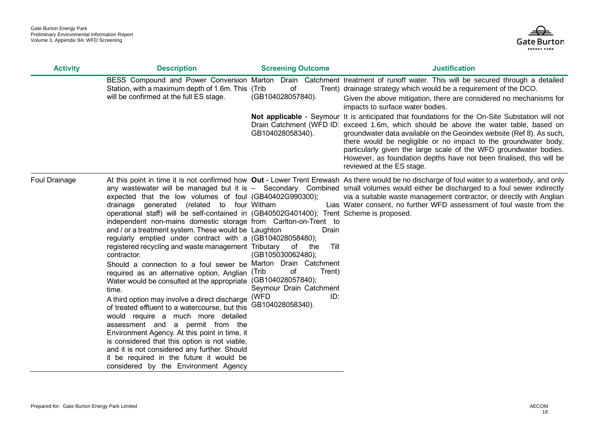

| <b>Activity</b> | <b>Description</b>                                                                                                                                                                                                                                                                                                                                                                                                                                                                                                                                                                                                                                                                                                                                                                                                                                                                                                                                                                                                                       | <b>Screening Outcome</b>                                                                                                                                                     | <b>Justification</b>                                                                                                                                                                                                                                                                                                                                                                                                                                                                                                                                                                                                                                                                                                                                                              |
|-----------------|------------------------------------------------------------------------------------------------------------------------------------------------------------------------------------------------------------------------------------------------------------------------------------------------------------------------------------------------------------------------------------------------------------------------------------------------------------------------------------------------------------------------------------------------------------------------------------------------------------------------------------------------------------------------------------------------------------------------------------------------------------------------------------------------------------------------------------------------------------------------------------------------------------------------------------------------------------------------------------------------------------------------------------------|------------------------------------------------------------------------------------------------------------------------------------------------------------------------------|-----------------------------------------------------------------------------------------------------------------------------------------------------------------------------------------------------------------------------------------------------------------------------------------------------------------------------------------------------------------------------------------------------------------------------------------------------------------------------------------------------------------------------------------------------------------------------------------------------------------------------------------------------------------------------------------------------------------------------------------------------------------------------------|
|                 | BESS Compound and Power Conversion Marton<br>Station, with a maximum depth of 1.6m. This (Trib)<br>will be confirmed at the full ES stage.                                                                                                                                                                                                                                                                                                                                                                                                                                                                                                                                                                                                                                                                                                                                                                                                                                                                                               | of<br>(GB104028057840).<br>GB104028058340).                                                                                                                                  | Drain Catchment treatment of runoff water. This will be secured through a detailed<br>Trent) drainage strategy which would be a requirement of the DCO.<br>Given the above mitigation, there are considered no mechanisms for<br>impacts to surface water bodies.<br>Not applicable - Seymour It is anticipated that foundations for the On-Site Substation will not<br>Drain Catchment (WFD ID: exceed 1.6m, which should be above the water table, based on<br>groundwater data available on the Geoindex website (Ref 8). As such,<br>there would be negligible or no impact to the groundwater body,<br>particularly given the large scale of the WFD groundwater bodies.<br>However, as foundation depths have not been finalised, this will be<br>reviewed at the ES stage. |
| Foul Drainage   | expected that the low volumes of foul (GB40402G990300);<br>drainage generated (related to four Witham<br>operational staff) will be self-contained in (GB40502G401400); Trent Scheme is proposed.<br>independent non-mains domestic storage from Carlton-on-Trent to<br>and / or a treatment system. These would be Laughton<br>regularly emptied under contract with a (GB104028058480);<br>registered recycling and waste management Tributary<br>contractor.<br>Should a connection to a foul sewer be<br>required as an alternative option, Anglian (Trib<br>Water would be consulted at the appropriate<br>time.<br>A third option may involve a direct discharge<br>of treated effluent to a watercourse, but this<br>would require a much more detailed<br>assessment and a permit from the<br>Environment Agency. At this point in time, it<br>is considered that this option is not viable,<br>and it is not considered any further. Should<br>it be required in the future it would be<br>considered by the Environment Agency | Drain<br>Till<br>of<br>the<br>(GB105030062480);<br>Marton Drain Catchment<br>of<br>Trent)<br>(GB104028057840);<br>Seymour Drain Catchment<br>(WFD<br>ID:<br>GB104028058340). | At this point in time it is not confirmed how Out - Lower Trent Erewash As there would be no discharge of foul water to a waterbody, and only<br>any wastewater will be managed but it is - Secondary Combined small volumes would either be discharged to a foul sewer indirectly<br>via a suitable waste management contractor, or directly with Anglian<br>Lias Water consent, no further WFD assessment of foul waste from the                                                                                                                                                                                                                                                                                                                                                |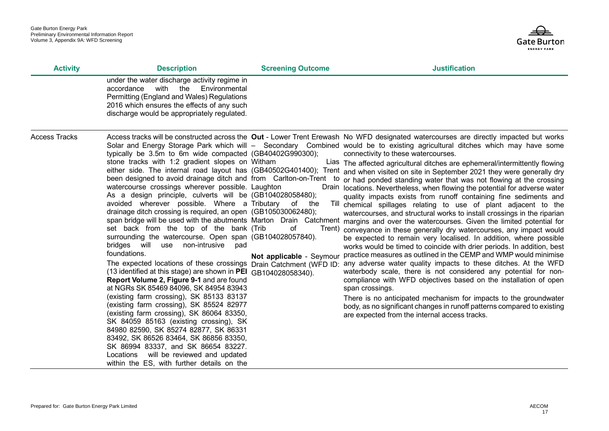

| <b>Activity</b>      | <b>Description</b>                                                                                                                                                                                                                                                                                                                                                                                                                                                                                                                                                                                                                                                                                                                                                                                                                                                                                                                                                                                                                                                                                                                                                                                                     | <b>Screening Outcome</b>                          | <b>Justification</b>                                                                                                                                                                                                                                                                                                                                                                                                                                                                                                                                                                                                                                                                                                                                                                                                                                                                                                                                                                                                                                                                                                                                                                                                                                                                                                                                                                                                                                                                                                                                                                                                                                                                                                                                                         |
|----------------------|------------------------------------------------------------------------------------------------------------------------------------------------------------------------------------------------------------------------------------------------------------------------------------------------------------------------------------------------------------------------------------------------------------------------------------------------------------------------------------------------------------------------------------------------------------------------------------------------------------------------------------------------------------------------------------------------------------------------------------------------------------------------------------------------------------------------------------------------------------------------------------------------------------------------------------------------------------------------------------------------------------------------------------------------------------------------------------------------------------------------------------------------------------------------------------------------------------------------|---------------------------------------------------|------------------------------------------------------------------------------------------------------------------------------------------------------------------------------------------------------------------------------------------------------------------------------------------------------------------------------------------------------------------------------------------------------------------------------------------------------------------------------------------------------------------------------------------------------------------------------------------------------------------------------------------------------------------------------------------------------------------------------------------------------------------------------------------------------------------------------------------------------------------------------------------------------------------------------------------------------------------------------------------------------------------------------------------------------------------------------------------------------------------------------------------------------------------------------------------------------------------------------------------------------------------------------------------------------------------------------------------------------------------------------------------------------------------------------------------------------------------------------------------------------------------------------------------------------------------------------------------------------------------------------------------------------------------------------------------------------------------------------------------------------------------------------|
|                      | under the water discharge activity regime in<br>with<br>Environmental<br>accordance<br>the<br>Permitting (England and Wales) Regulations<br>2016 which ensures the effects of any such<br>discharge would be appropriately regulated.                                                                                                                                                                                                                                                                                                                                                                                                                                                                                                                                                                                                                                                                                                                                                                                                                                                                                                                                                                                  |                                                   |                                                                                                                                                                                                                                                                                                                                                                                                                                                                                                                                                                                                                                                                                                                                                                                                                                                                                                                                                                                                                                                                                                                                                                                                                                                                                                                                                                                                                                                                                                                                                                                                                                                                                                                                                                              |
| <b>Access Tracks</b> | typically be 3.5m to 6m wide compacted (GB40402G990300);<br>stone tracks with 1:2 gradient slopes on Witham<br>been designed to avoid drainage ditch and from Carlton-on-Trent<br>watercourse crossings wherever possible. Laughton<br>As a design principle, culverts will be (GB104028058480);<br>avoided wherever possible. Where a Tributary<br>drainage ditch crossing is required, an open (GB105030062480);<br>set back from the top of the bank (Trib<br>surrounding the watercourse. Open span (GB104028057840).<br>bridges will use non-intrusive<br>pad<br>foundations.<br>The expected locations of these crossings Drain Catchment (WFD ID:<br>(13 identified at this stage) are shown in PEI GB104028058340).<br>Report Volume 2, Figure 9-1 and are found<br>at NGRs SK 85469 84096, SK 84954 83943<br>(existing farm crossing), SK 85133 83137<br>(existing farm crossing), SK 85524 82977<br>(existing farm crossing), SK 86064 83350,<br>SK 84059 85163 (existing crossing), SK<br>84980 82590, SK 85274 82877, SK 86331<br>83492, SK 86526 83464, SK 86856 83350,<br>SK 86994 83337, and SK 86654 83227.<br>will be reviewed and updated<br>Locations<br>within the ES, with further details on the | to<br>of<br>the<br>of<br>Not applicable - Seymour | Access tracks will be constructed across the Out - Lower Trent Erewash No WFD designated watercourses are directly impacted but works<br>Solar and Energy Storage Park which will - Secondary Combined would be to existing agricultural ditches which may have some<br>connectivity to these watercourses.<br>Lias The affected agricultural ditches are ephemeral/intermittently flowing<br>either side. The internal road layout has (GB40502G401400); Trent and when visited on site in September 2021 they were generally dry<br>or had ponded standing water that was not flowing at the crossing<br>Drain locations. Nevertheless, when flowing the potential for adverse water<br>quality impacts exists from runoff containing fine sediments and<br>Till chemical spillages relating to use of plant adjacent to the<br>watercourses, and structural works to install crossings in the riparian<br>span bridge will be used with the abutments Marton Drain Catchment margins and over the watercourses. Given the limited potential for<br>Trent) conveyance in these generally dry watercourses, any impact would<br>be expected to remain very localised. In addition, where possible<br>works would be timed to coincide with drier periods. In addition, best<br>practice measures as outlined in the CEMP and WMP would minimise<br>any adverse water quality impacts to these ditches. At the WFD<br>waterbody scale, there is not considered any potential for non-<br>compliance with WFD objectives based on the installation of open<br>span crossings.<br>There is no anticipated mechanism for impacts to the groundwater<br>body, as no significant changes in runoff patterns compared to existing<br>are expected from the internal access tracks. |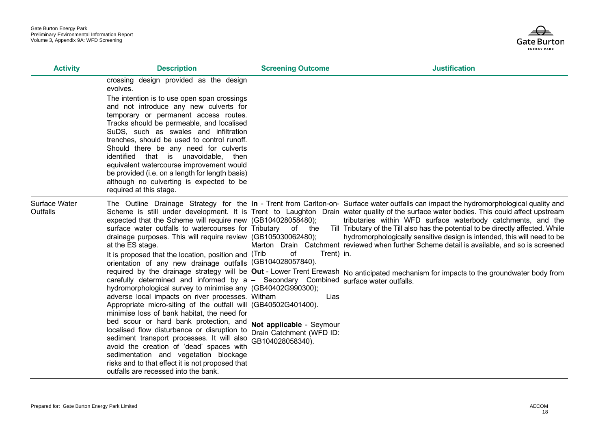

| <b>Activity</b>                  | <b>Description</b>                                                                                                                                                                                                                                                                                                                                                                                                                                                                                                                                                                                                                                                                                                                                                                                                                                                                                                                                                                                        | <b>Screening Outcome</b>                                                         | <b>Justification</b>                                                                                                                                                                                                                                                                                                                                                                                                                                                                                                                                                                                                                                                                                                                                    |
|----------------------------------|-----------------------------------------------------------------------------------------------------------------------------------------------------------------------------------------------------------------------------------------------------------------------------------------------------------------------------------------------------------------------------------------------------------------------------------------------------------------------------------------------------------------------------------------------------------------------------------------------------------------------------------------------------------------------------------------------------------------------------------------------------------------------------------------------------------------------------------------------------------------------------------------------------------------------------------------------------------------------------------------------------------|----------------------------------------------------------------------------------|---------------------------------------------------------------------------------------------------------------------------------------------------------------------------------------------------------------------------------------------------------------------------------------------------------------------------------------------------------------------------------------------------------------------------------------------------------------------------------------------------------------------------------------------------------------------------------------------------------------------------------------------------------------------------------------------------------------------------------------------------------|
|                                  | crossing design provided as the design<br>evolves.<br>The intention is to use open span crossings<br>and not introduce any new culverts for<br>temporary or permanent access routes.<br>Tracks should be permeable, and localised<br>SuDS, such as swales and infiltration<br>trenches, should be used to control runoff.<br>Should there be any need for culverts<br>identified that is unavoidable, then<br>equivalent watercourse improvement would<br>be provided (i.e. on a length for length basis)<br>although no culverting is expected to be<br>required at this stage.                                                                                                                                                                                                                                                                                                                                                                                                                          |                                                                                  |                                                                                                                                                                                                                                                                                                                                                                                                                                                                                                                                                                                                                                                                                                                                                         |
| Surface Water<br><b>Outfalls</b> | expected that the Scheme will require new (GB104028058480);<br>surface water outfalls to watercourses for Tributary of the<br>drainage purposes. This will require review (GB105030062480);<br>at the ES stage.<br>It is proposed that the location, position and (Trib<br>orientation of any new drainage outfalls (GB104028057840).<br>carefully determined and informed by a - Secondary Combined surface water outfalls.<br>hydromorphological survey to minimise any (GB40402G990300);<br>adverse local impacts on river processes. Witham<br>Appropriate micro-siting of the outfall will (GB40502G401400).<br>minimise loss of bank habitat, the need for<br>bed scour or hard bank protection, and<br>localised flow disturbance or disruption to<br>sediment transport processes. It will also GB104028058340).<br>avoid the creation of 'dead' spaces with<br>sedimentation and vegetation blockage<br>risks and to that effect it is not proposed that<br>outfalls are recessed into the bank. | Trent) in.<br>of<br>Lias<br>Not applicable - Seymour<br>Drain Catchment (WFD ID: | The Outline Drainage Strategy for the In - Trent from Carlton-on- Surface water outfalls can impact the hydromorphological quality and<br>Scheme is still under development. It is Trent to Laughton Drain water quality of the surface water bodies. This could affect upstream<br>tributaries within WFD surface waterbody catchments, and the<br>Till Tributary of the Till also has the potential to be directly affected. While<br>hydromorphologically sensitive design is intended, this will need to be<br>Marton Drain Catchment reviewed when further Scheme detail is available, and so is screened<br>required by the drainage strategy will be Out - Lower Trent Erewash No anticipated mechanism for impacts to the groundwater body from |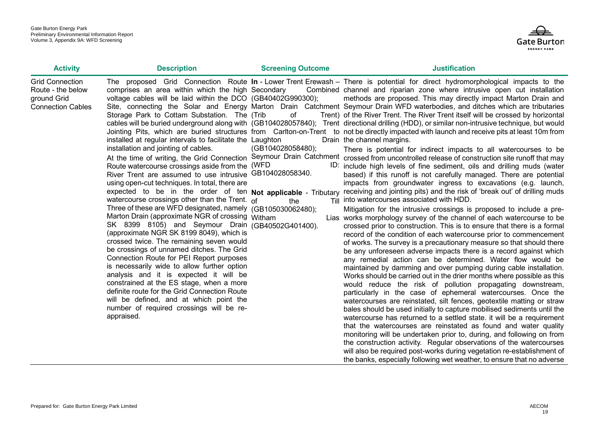

| <b>Activity</b>                                                                        | <b>Description</b>                                                                                                                                                                                                                                                                                                                                                                                                                                                                                                                                                                                                                                                                                                                                                                                                                                                                                                                                                                                                                                                                                                                                                                                              | <b>Screening Outcome</b>               | <b>Justification</b>                                                                                                                                                                                                                                                                                                                                                                                                                                                                                                                                                                                                                                                                                                                                                                                                                                                                                                                                                                                                                                                                                                                                                                                                                                                                                                                                                                                                                                                                                                                                                                                                                                                                                                                                                                                                                                                                                                                                                                                                                                                                                                                                                                                                                                                                                                                                                                                                                                                                                                                                                                                                                                                                                                                                                                      |
|----------------------------------------------------------------------------------------|-----------------------------------------------------------------------------------------------------------------------------------------------------------------------------------------------------------------------------------------------------------------------------------------------------------------------------------------------------------------------------------------------------------------------------------------------------------------------------------------------------------------------------------------------------------------------------------------------------------------------------------------------------------------------------------------------------------------------------------------------------------------------------------------------------------------------------------------------------------------------------------------------------------------------------------------------------------------------------------------------------------------------------------------------------------------------------------------------------------------------------------------------------------------------------------------------------------------|----------------------------------------|-------------------------------------------------------------------------------------------------------------------------------------------------------------------------------------------------------------------------------------------------------------------------------------------------------------------------------------------------------------------------------------------------------------------------------------------------------------------------------------------------------------------------------------------------------------------------------------------------------------------------------------------------------------------------------------------------------------------------------------------------------------------------------------------------------------------------------------------------------------------------------------------------------------------------------------------------------------------------------------------------------------------------------------------------------------------------------------------------------------------------------------------------------------------------------------------------------------------------------------------------------------------------------------------------------------------------------------------------------------------------------------------------------------------------------------------------------------------------------------------------------------------------------------------------------------------------------------------------------------------------------------------------------------------------------------------------------------------------------------------------------------------------------------------------------------------------------------------------------------------------------------------------------------------------------------------------------------------------------------------------------------------------------------------------------------------------------------------------------------------------------------------------------------------------------------------------------------------------------------------------------------------------------------------------------------------------------------------------------------------------------------------------------------------------------------------------------------------------------------------------------------------------------------------------------------------------------------------------------------------------------------------------------------------------------------------------------------------------------------------------------------------------------------------|
| <b>Grid Connection</b><br>Route - the below<br>ground Grid<br><b>Connection Cables</b> | comprises an area within which the high Secondary<br>voltage cables will be laid within the DCO (GB40402G990300);<br>Storage Park to Cottam Substation. The (Trib<br>installed at regular intervals to facilitate the Laughton<br>installation and jointing of cables.<br>Route watercourse crossings aside from the (WFD<br>River Trent are assumed to use intrusive GB104028058340.<br>using open-cut techniques. In total, there are<br>expected to be in the order of ten Not applicable - Tributary<br>watercourse crossings other than the Trent. $of$<br>Three of these are WFD designated, namely (GB105030062480);<br>Marton Drain (approximate NGR of crossing Witham<br>SK 8399 8105) and Seymour Drain (GB40502G401400).<br>(approximate NGR SK 8199 8049), which is<br>crossed twice. The remaining seven would<br>be crossings of unnamed ditches. The Grid<br>Connection Route for PEI Report purposes<br>is necessarily wide to allow further option<br>analysis and it is expected it will be<br>constrained at the ES stage, when a more<br>definite route for the Grid Connection Route<br>will be defined, and at which point the<br>number of required crossings will be re-<br>appraised. | of<br>(GB104028058480);<br>Till<br>the | The proposed Grid Connection Route In - Lower Trent Erewash – There is potential for direct hydromorphological impacts to the<br>Combined channel and riparian zone where intrusive open cut installation<br>methods are proposed. This may directly impact Marton Drain and<br>Site, connecting the Solar and Energy Marton Drain Catchment Seymour Drain WFD waterbodies, and ditches which are tributaries<br>Trent) of the River Trent. The River Trent itself will be crossed by horizontal<br>cables will be buried underground along with (GB104028057840); Trent directional drilling (HDD), or similar non-intrusive technique, but would<br>Jointing Pits, which are buried structures from Carlton-on-Trent to not be directly impacted with launch and receive pits at least 10m from<br>Drain the channel margins.<br>There is potential for indirect impacts to all watercourses to be<br>At the time of writing, the Grid Connection Seymour Drain Catchment crossed from uncontrolled release of construction site runoff that may<br>ID: include high levels of fine sediment, oils and drilling muds (water<br>based) if this runoff is not carefully managed. There are potential<br>impacts from groundwater ingress to excavations (e.g. launch,<br>receiving and jointing pits) and the risk of 'break out' of drilling muds<br>into watercourses associated with HDD.<br>Mitigation for the intrusive crossings is proposed to include a pre-<br>Lias works morphology survey of the channel of each watercourse to be<br>crossed prior to construction. This is to ensure that there is a formal<br>record of the condition of each watercourse prior to commencement<br>of works. The survey is a precautionary measure so that should there<br>be any unforeseen adverse impacts there is a record against which<br>any remedial action can be determined. Water flow would be<br>maintained by damming and over pumping during cable installation.<br>Works should be carried out in the drier months where possible as this<br>would reduce the risk of pollution propagating downstream,<br>particularly in the case of ephemeral watercourses. Once the<br>watercourses are reinstated, silt fences, geotextile matting or straw<br>bales should be used initially to capture mobilised sediments until the<br>watercourse has returned to a settled state. it will be a requirement<br>that the watercourses are reinstated as found and water quality<br>monitoring will be undertaken prior to, during, and following on from<br>the construction activity. Regular observations of the watercourses<br>will also be required post-works during vegetation re-establishment of<br>the banks, especially following wet weather, to ensure that no adverse |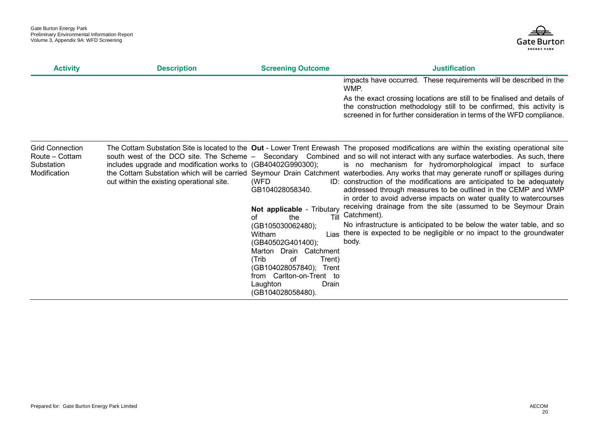

| <b>Activity</b>                                                        | <b>Description</b>                                                                                        | <b>Screening Outcome</b>                                                                                                                                                                                                                                                           | <b>Justification</b>                                                                                                                                                                                                                                                                                                                                                                                                                                                                                                                                                                                                                                                                                                                                                                                                                                                                                                                                |
|------------------------------------------------------------------------|-----------------------------------------------------------------------------------------------------------|------------------------------------------------------------------------------------------------------------------------------------------------------------------------------------------------------------------------------------------------------------------------------------|-----------------------------------------------------------------------------------------------------------------------------------------------------------------------------------------------------------------------------------------------------------------------------------------------------------------------------------------------------------------------------------------------------------------------------------------------------------------------------------------------------------------------------------------------------------------------------------------------------------------------------------------------------------------------------------------------------------------------------------------------------------------------------------------------------------------------------------------------------------------------------------------------------------------------------------------------------|
|                                                                        |                                                                                                           |                                                                                                                                                                                                                                                                                    | impacts have occurred. These requirements will be described in the<br>WMP.                                                                                                                                                                                                                                                                                                                                                                                                                                                                                                                                                                                                                                                                                                                                                                                                                                                                          |
|                                                                        |                                                                                                           |                                                                                                                                                                                                                                                                                    | As the exact crossing locations are still to be finalised and details of<br>the construction methodology still to be confirmed, this activity is<br>screened in for further consideration in terms of the WFD compliance.                                                                                                                                                                                                                                                                                                                                                                                                                                                                                                                                                                                                                                                                                                                           |
| <b>Grid Connection</b><br>Route - Cottam<br>Substation<br>Modification | includes upgrade and modification works to (GB40402G990300);<br>out within the existing operational site. | (WFD<br>GB104028058340.<br>Not applicable - Tributary<br>Till<br>the<br>of<br>(GB105030062480);<br>Witham<br>(GB40502G401400);<br>Marton Drain Catchment<br>(Trib<br>of<br>Trent)<br>(GB104028057840); Trent<br>from Carlton-on-Trent to<br>Drain<br>Laughton<br>(GB104028058480). | The Cottam Substation Site is located to the Out - Lower Trent Erewash The proposed modifications are within the existing operational site<br>south west of the DCO site. The Scheme – Secondary Combined and so will not interact with any surface waterbodies. As such, there<br>is no mechanism for hydromorphological impact to surface<br>the Cottam Substation which will be carried Seymour Drain Catchment waterbodies. Any works that may generate runoff or spillages during<br>ID: construction of the modifications are anticipated to be adequately<br>addressed through measures to be outlined in the CEMP and WMP<br>in order to avoid adverse impacts on water quality to watercourses<br>receiving drainage from the site (assumed to be Seymour Drain<br>Catchment).<br>No infrastructure is anticipated to be below the water table, and so<br>Lias there is expected to be negligible or no impact to the groundwater<br>body. |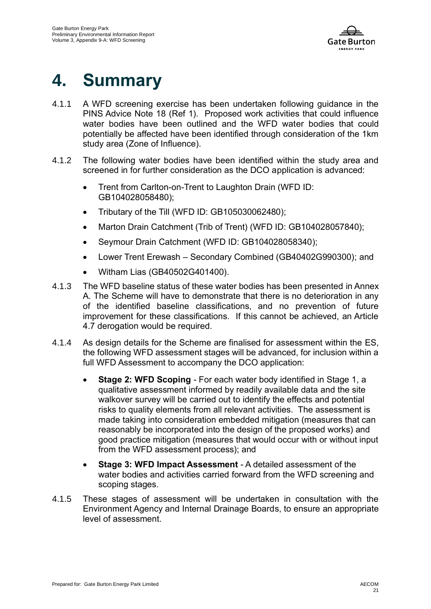

# **4. Summary**

- 4.1.1 A WFD screening exercise has been undertaken following guidance in the PINS Advice Note 18 (Ref 1). Proposed work activities that could influence water bodies have been outlined and the WFD water bodies that could potentially be affected have been identified through consideration of the 1km study area (Zone of Influence).
- 4.1.2 The following water bodies have been identified within the study area and screened in for further consideration as the DCO application is advanced:
	- Trent from Carlton-on-Trent to Laughton Drain (WFD ID: GB104028058480);
	- Tributary of the Till (WFD ID: GB105030062480);
	- Marton Drain Catchment (Trib of Trent) (WFD ID: GB104028057840):
	- Seymour Drain Catchment (WFD ID: GB104028058340);
	- Lower Trent Erewash Secondary Combined (GB40402G990300); and
	- Witham Lias (GB40502G401400).
- 4.1.3 The WFD baseline status of these water bodies has been presented in Annex A. The Scheme will have to demonstrate that there is no deterioration in any of the identified baseline classifications, and no prevention of future improvement for these classifications. If this cannot be achieved, an Article 4.7 derogation would be required.
- 4.1.4 As design details for the Scheme are finalised for assessment within the ES, the following WFD assessment stages will be advanced, for inclusion within a full WFD Assessment to accompany the DCO application:
	- **Stage 2: WFD Scoping** For each water body identified in Stage 1, a qualitative assessment informed by readily available data and the site walkover survey will be carried out to identify the effects and potential risks to quality elements from all relevant activities. The assessment is made taking into consideration embedded mitigation (measures that can reasonably be incorporated into the design of the proposed works) and good practice mitigation (measures that would occur with or without input from the WFD assessment process); and
	- **Stage 3: WFD Impact Assessment** A detailed assessment of the water bodies and activities carried forward from the WFD screening and scoping stages.
- 4.1.5 These stages of assessment will be undertaken in consultation with the Environment Agency and Internal Drainage Boards, to ensure an appropriate level of assessment.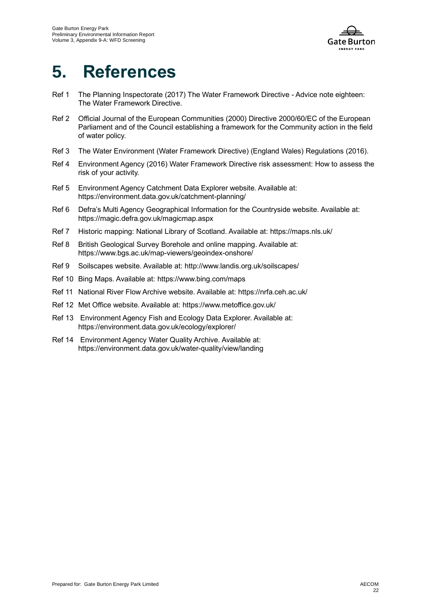

# **5. References**

- Ref 1 The Planning Inspectorate (2017) The Water Framework Directive Advice note eighteen: The Water Framework Directive.
- Ref 2 Official Journal of the European Communities (2000) Directive 2000/60/EC of the European Parliament and of the Council establishing a framework for the Community action in the field of water policy.
- Ref 3 The Water Environment (Water Framework Directive) (England Wales) Regulations (2016).
- Ref 4 Environment Agency (2016) Water Framework Directive risk assessment: How to assess the risk of your activity.
- Ref 5 Environment Agency Catchment Data Explorer website. Available at: https://environment.data.gov.uk/catchment-planning/
- Ref 6 Defra's Multi Agency Geographical Information for the Countryside website. Available at: https://magic.defra.gov.uk/magicmap.aspx
- Ref 7 Historic mapping: National Library of Scotland. Available at: https://maps.nls.uk/
- Ref 8 British Geological Survey Borehole and online mapping. Available at: https://www.bgs.ac.uk/map-viewers/geoindex-onshore/
- Ref 9 Soilscapes website. Available at: http://www.landis.org.uk/soilscapes/
- Ref 10 Bing Maps. Available at: https://www.bing.com/maps
- Ref 11 National River Flow Archive website. Available at: https://nrfa.ceh.ac.uk/
- Ref 12 Met Office website. Available at: https://www.metoffice.gov.uk/
- Ref 13 Environment Agency Fish and Ecology Data Explorer. Available at: https://environment.data.gov.uk/ecology/explorer/
- Ref 14 Environment Agency Water Quality Archive. Available at: https://environment.data.gov.uk/water-quality/view/landing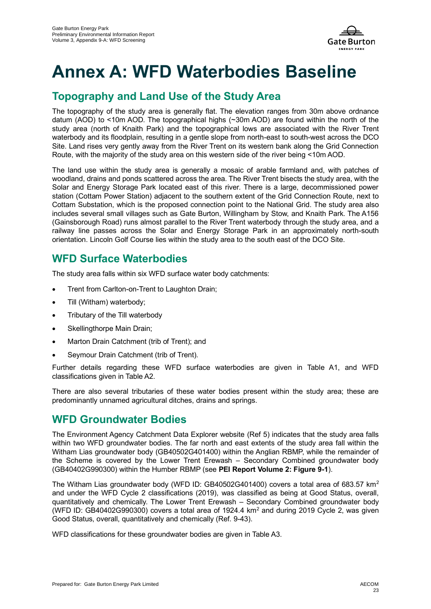

# **Annex A: WFD Waterbodies Baseline**

### **Topography and Land Use of the Study Area**

The topography of the study area is generally flat. The elevation ranges from 30m above ordnance datum (AOD) to <10m AOD. The topographical highs (~30m AOD) are found within the north of the study area (north of Knaith Park) and the topographical lows are associated with the River Trent waterbody and its floodplain, resulting in a gentle slope from north-east to south-west across the DCO Site. Land rises very gently away from the River Trent on its western bank along the Grid Connection Route, with the majority of the study area on this western side of the river being <10m AOD.

The land use within the study area is generally a mosaic of arable farmland and, with patches of woodland, drains and ponds scattered across the area. The River Trent bisects the study area, with the Solar and Energy Storage Park located east of this river. There is a large, decommissioned power station (Cottam Power Station) adjacent to the southern extent of the Grid Connection Route, next to Cottam Substation, which is the proposed connection point to the National Grid. The study area also includes several small villages such as Gate Burton, Willingham by Stow, and Knaith Park. The A156 (Gainsborough Road) runs almost parallel to the River Trent waterbody through the study area, and a railway line passes across the Solar and Energy Storage Park in an approximately north-south orientation. Lincoln Golf Course lies within the study area to the south east of the DCO Site.

### **WFD Surface Waterbodies**

The study area falls within six WFD surface water body catchments:

- Trent from Carlton-on-Trent to Laughton Drain;
- Till (Witham) waterbody;
- Tributary of the Till waterbody
- Skellingthorpe Main Drain;
- Marton Drain Catchment (trib of Trent); and
- Seymour Drain Catchment (trib of Trent).

Further details regarding these WFD surface waterbodies are given in Table A1, and WFD classifications given in Table A2.

There are also several tributaries of these water bodies present within the study area; these are predominantly unnamed agricultural ditches, drains and springs.

#### **WFD Groundwater Bodies**

The Environment Agency Catchment Data Explorer website (Ref 5) indicates that the study area falls within two WFD groundwater bodies. The far north and east extents of the study area fall within the Witham Lias groundwater body (GB40502G401400) within the Anglian RBMP, while the remainder of the Scheme is covered by the Lower Trent Erewash – Secondary Combined groundwater body (GB40402G990300) within the Humber RBMP (see **PEI Report Volume 2: Figure 9-1**).

The Witham Lias groundwater body (WFD ID: GB40502G401400) covers a total area of 683.57  $km^2$ and under the WFD Cycle 2 classifications (2019), was classified as being at Good Status, overall, quantitatively and chemically. The Lower Trent Erewash – Secondary Combined groundwater body (WFD ID: GB40402G990300) covers a total area of 1924.4 km<sup>2</sup> and during 2019 Cycle 2, was given Good Status, overall, quantitatively and chemically (Ref. 9-43).

WFD classifications for these groundwater bodies are given in Table A3.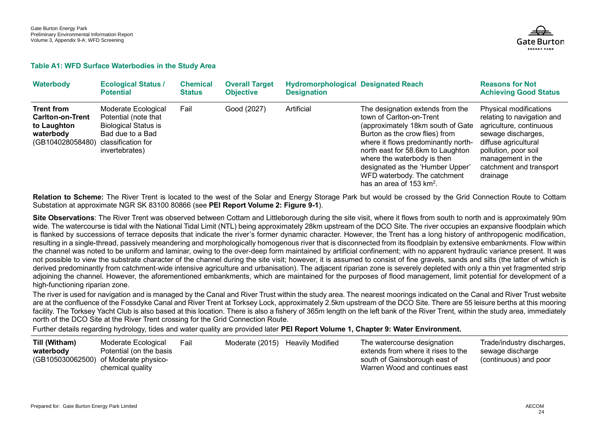

#### **Table A1: WFD Surface Waterbodies in the Study Area**

| <b>Waterbody</b>                                                                             | <b>Ecological Status /</b><br><b>Potential</b>                                                                                         | <b>Chemical</b><br><b>Status</b> | <b>Overall Target</b><br><b>Objective</b> | <b>Hydromorphological Designated Reach</b><br><b>Designation</b> |                                                                                                                                                                                                                                                                                                                                                   | <b>Reasons for Not</b><br><b>Achieving Good Status</b>                                                                                                                                                            |
|----------------------------------------------------------------------------------------------|----------------------------------------------------------------------------------------------------------------------------------------|----------------------------------|-------------------------------------------|------------------------------------------------------------------|---------------------------------------------------------------------------------------------------------------------------------------------------------------------------------------------------------------------------------------------------------------------------------------------------------------------------------------------------|-------------------------------------------------------------------------------------------------------------------------------------------------------------------------------------------------------------------|
| <b>Trent from</b><br><b>Carlton-on-Trent</b><br>to Laughton<br>waterbody<br>(GB104028058480) | Moderate Ecological<br>Potential (note that<br><b>Biological Status is</b><br>Bad due to a Bad<br>classification for<br>invertebrates) | Fail                             | Good (2027)                               | Artificial                                                       | The designation extends from the<br>town of Carlton-on-Trent<br>(approximately 18km south of Gate<br>Burton as the crow flies) from<br>where it flows predominantly north-<br>north east for 58.6km to Laughton<br>where the waterbody is then<br>designated as the 'Humber Upper'<br>WFD waterbody. The catchment<br>has an area of 153 $km^2$ . | Physical modifications<br>relating to navigation and<br>agriculture, continuous<br>sewage discharges,<br>diffuse agricultural<br>pollution, poor soil<br>management in the<br>catchment and transport<br>drainage |

**Relation to Scheme:** The River Trent is located to the west of the Solar and Energy Storage Park but would be crossed by the Grid Connection Route to Cottam Substation at approximate NGR SK 83100 80866 (see **PEI Report Volume 2: Figure 9-1**).

**Site Observations:** The River Trent was observed between Cottam and Littleborough during the site visit, where it flows from south to north and is approximately 90m wide. The watercourse is tidal with the National Tidal Limit (NTL) being approximately 28km upstream of the DCO Site. The river occupies an expansive floodplain which is flanked by successions of terrace deposits that indicate the river's former dynamic character. However, the Trent has a long history of anthropogenic modification, resulting in a single-thread, passively meandering and morphologically homogenous river that is disconnected from its floodplain by extensive embankments. Flow within the channel was noted to be uniform and laminar, owing to the over-deep form maintained by artificial confinement; with no apparent hydraulic variance present. It was not possible to view the substrate character of the channel during the site visit; however, it is assumed to consist of fine gravels, sands and silts (the latter of which is derived predominantly from catchment-wide intensive agriculture and urbanisation). The adjacent riparian zone is severely depleted with only a thin yet fragmented strip adjoining the channel. However, the aforementioned embankments, which are maintained for the purposes of flood management, limit potential for development of a high-functioning riparian zone.

The river is used for navigation and is managed by the Canal and River Trust within the study area. The nearest moorings indicated on the Canal and River Trust website are at the confluence of the Fossdyke Canal and River Trent at Torksey Lock, approximately 2.5km upstream of the DCO Site. There are 55 leisure berths at this mooring facility. The Torksey Yacht Club is also based at this location. There is also a fishery of 365m length on the left bank of the River Trent, within the study area, immediately north of the DCO Site at the River Trent crossing for the Grid Connection Route.

Further details regarding hydrology, tides and water quality are provided later **PEI Report Volume 1, Chapter 9: Water Environment.**

| Till (Witham) | Moderate Ecological                                                                  | Fail | Moderate (2015) Heavily Modified | The watercourse designation                                                                           | Trade/industry discharges,                |
|---------------|--------------------------------------------------------------------------------------|------|----------------------------------|-------------------------------------------------------------------------------------------------------|-------------------------------------------|
| waterbody     | Potential (on the basis<br>(GB105030062500) of Moderate physico-<br>chemical quality |      |                                  | extends from where it rises to the<br>south of Gainsborough east of<br>Warren Wood and continues east | sewage discharge<br>(continuous) and poor |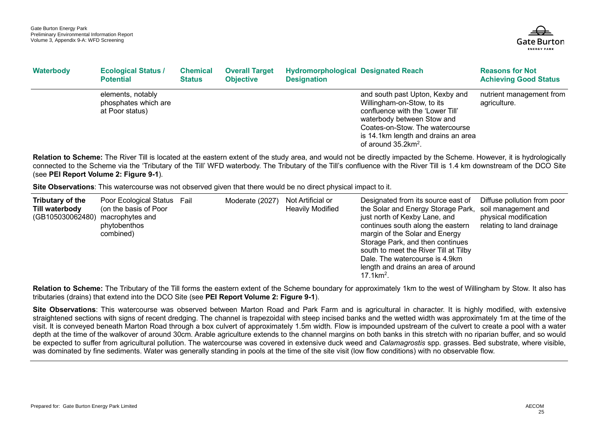

| Waterbody | <b>Ecological Status /</b><br><b>Potential</b>               | <b>Chemical</b><br><b>Status</b> | <b>Overall Target</b><br><b>Objective</b> | <b>Hydromorphological Designated Reach</b><br><b>Designation</b> |                                                                                                                                                                                                                                             | <b>Reasons for Not</b><br><b>Achieving Good Status</b> |
|-----------|--------------------------------------------------------------|----------------------------------|-------------------------------------------|------------------------------------------------------------------|---------------------------------------------------------------------------------------------------------------------------------------------------------------------------------------------------------------------------------------------|--------------------------------------------------------|
|           | elements, notably<br>phosphates which are<br>at Poor status) |                                  |                                           |                                                                  | and south past Upton, Kexby and<br>Willingham-on-Stow, to its<br>confluence with the 'Lower Till'<br>waterbody between Stow and<br>Coates-on-Stow. The watercourse<br>is 14.1km length and drains an area<br>of around $35.2 \text{km}^2$ . | nutrient management from<br>agriculture.               |

**Relation to Scheme:** The River Till is located at the eastern extent of the study area, and would not be directly impacted by the Scheme. However, it is hydrologically connected to the Scheme via the 'Tributary of the Till' WFD waterbody. The Tributary of the Till's confluence with the River Till is 1.4 km downstream of the DCO Site (see **PEI Report Volume 2: Figure 9-1**).

**Site Observations**: This watercourse was not observed given that there would be no direct physical impact to it.

| Tributary of the<br>Till waterbody<br>(GB105030062480) macrophytes and | Poor Ecological Status<br>(on the basis of Poor<br>phytobenthos<br>combined) | Fail | Moderate (2027) | Not Artificial or<br><b>Heavily Modified</b> | Designated from its source east of<br>the Solar and Energy Storage Park,<br>just north of Kexby Lane, and<br>continues south along the eastern<br>margin of the Solar and Energy<br>Storage Park, and then continues<br>south to meet the River Till at Tilby<br>Dale. The watercourse is 4.9km<br>length and drains an area of around<br>$17.1 \text{km}^2$ . | Diffuse pollution from poor<br>soil management and<br>physical modification<br>relating to land drainage |
|------------------------------------------------------------------------|------------------------------------------------------------------------------|------|-----------------|----------------------------------------------|----------------------------------------------------------------------------------------------------------------------------------------------------------------------------------------------------------------------------------------------------------------------------------------------------------------------------------------------------------------|----------------------------------------------------------------------------------------------------------|
|------------------------------------------------------------------------|------------------------------------------------------------------------------|------|-----------------|----------------------------------------------|----------------------------------------------------------------------------------------------------------------------------------------------------------------------------------------------------------------------------------------------------------------------------------------------------------------------------------------------------------------|----------------------------------------------------------------------------------------------------------|

**Relation to Scheme:** The Tributary of the Till forms the eastern extent of the Scheme boundary for approximately 1km to the west of Willingham by Stow. It also has tributaries (drains) that extend into the DCO Site (see **PEI Report Volume 2: Figure 9-1**).

Site Observations: This watercourse was observed between Marton Road and Park Farm and is agricultural in character. It is highly modified, with extensive straightened sections with signs of recent dredging. The channel is trapezoidal with steep incised banks and the wetted width was approximately 1m at the time of the visit. It is conveyed beneath Marton Road through a box culvert of approximately 1.5m width. Flow is impounded upstream of the culvert to create a pool with a water depth at the time of the walkover of around 30cm. Arable agriculture extends to the channel margins on both banks in this stretch with no riparian buffer, and so would be expected to suffer from agricultural pollution. The watercourse was covered in extensive duck weed and *Calamagrostis* spp. grasses. Bed substrate, where visible, was dominated by fine sediments. Water was generally standing in pools at the time of the site visit (low flow conditions) with no observable flow.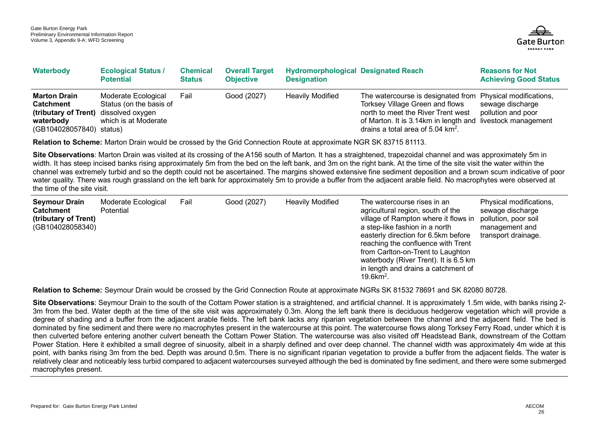

| Waterbody                                                                                                                 | <b>Ecological Status /</b><br><b>Potential</b>                         | <b>Chemical</b><br><b>Status</b> | <b>Overall Target</b><br><b>Objective</b> | <b>Hydromorphological Designated Reach</b><br><b>Designation</b> |                                                                                                                                                                                                                                                   | <b>Reasons for Not</b><br><b>Achieving Good Status</b> |
|---------------------------------------------------------------------------------------------------------------------------|------------------------------------------------------------------------|----------------------------------|-------------------------------------------|------------------------------------------------------------------|---------------------------------------------------------------------------------------------------------------------------------------------------------------------------------------------------------------------------------------------------|--------------------------------------------------------|
| <b>Marton Drain</b><br><b>Catchment</b><br>(tributary of Trent) dissolved oxygen<br>waterbody<br>(GB104028057840) status) | Moderate Ecological<br>Status (on the basis of<br>which is at Moderate | Fail                             | Good (2027)                               | <b>Heavily Modified</b>                                          | The watercourse is designated from Physical modifications,<br>Torksey Village Green and flows<br>north to meet the River Trent west<br>of Marton. It is 3.14km in length and livestock management<br>drains a total area of $5.04 \text{ km}^2$ . | sewage discharge<br>pollution and poor                 |

**Relation to Scheme:** Marton Drain would be crossed by the Grid Connection Route at approximate NGR SK 83715 81113.

**Site Observations:** Marton Drain was visited at its crossing of the A156 south of Marton. It has a straightened, trapezoidal channel and was approximately 5m in width. It has steep incised banks rising approximately 5m from the bed on the left bank, and 3m on the right bank. At the time of the site visit the water within the channel was extremely turbid and so the depth could not be ascertained. The margins showed extensive fine sediment deposition and a brown scum indicative of poor water quality. There was rough grassland on the left bank for approximately 5m to provide a buffer from the adjacent arable field. No macrophytes were observed at the time of the site visit.

| <b>Seymour Drain</b><br><b>Catchment</b><br>(tributary of Trent)<br>(GB104028058340) | Moderate Ecological<br>Potential | Fail | Good (2027) | <b>Heavily Modified</b> | The watercourse rises in an<br>agricultural region, south of the<br>village of Rampton where it flows in<br>a step-like fashion in a north<br>easterly direction for 6.5km before<br>reaching the confluence with Trent<br>from Carlton-on-Trent to Laughton<br>waterbody (River Trent). It is 6.5 km<br>in length and drains a catchment of<br>$19.6$ km <sup>2</sup> . | Physical modifications,<br>sewage discharge<br>pollution, poor soil<br>management and<br>transport drainage. |
|--------------------------------------------------------------------------------------|----------------------------------|------|-------------|-------------------------|--------------------------------------------------------------------------------------------------------------------------------------------------------------------------------------------------------------------------------------------------------------------------------------------------------------------------------------------------------------------------|--------------------------------------------------------------------------------------------------------------|
|--------------------------------------------------------------------------------------|----------------------------------|------|-------------|-------------------------|--------------------------------------------------------------------------------------------------------------------------------------------------------------------------------------------------------------------------------------------------------------------------------------------------------------------------------------------------------------------------|--------------------------------------------------------------------------------------------------------------|

**Relation to Scheme:** Seymour Drain would be crossed by the Grid Connection Route at approximate NGRs SK 81532 78691 and SK 82080 80728.

**Site Observations**: Seymour Drain to the south of the Cottam Power station is a straightened, and artificial channel. It is approximately 1.5m wide, with banks rising 2- 3m from the bed. Water depth at the time of the site visit was approximately 0.3m. Along the left bank there is deciduous hedgerow vegetation which will provide a degree of shading and a buffer from the adjacent arable fields. The left bank lacks any riparian vegetation between the channel and the adjacent field. The bed is dominated by fine sediment and there were no macrophytes present in the watercourse at this point. The watercourse flows along Torksey Ferry Road, under which it is then culverted before entering another culvert beneath the Cottam Power Station. The watercourse was also visited off Headstead Bank, downstream of the Cottam Power Station. Here it exhibited a small degree of sinuosity, albeit in a sharply defined and over deep channel. The channel width was approximately 4m wide at this point, with banks rising 3m from the bed. Depth was around 0.5m. There is no significant riparian vegetation to provide a buffer from the adjacent fields. The water is relatively clear and noticeably less turbid compared to adjacent watercourses surveyed although the bed is dominated by fine sediment, and there were some submerged macrophytes present.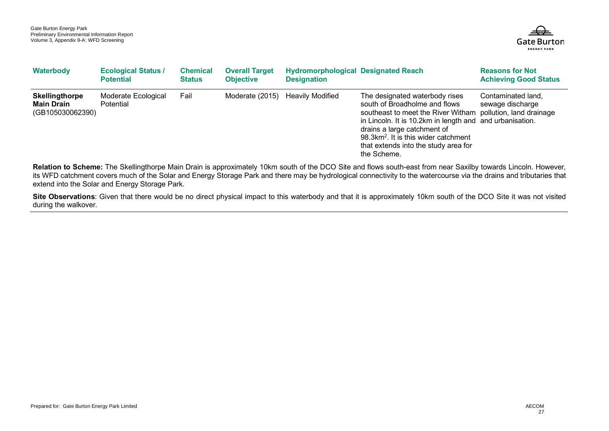

| Waterbody                                               | <b>Ecological Status /</b><br><b>Potential</b> | <b>Chemical</b><br><b>Status</b> | <b>Overall Target</b><br><b>Objective</b> | <b>Hydromorphological Designated Reach</b><br><b>Designation</b> |                                                                                                                                                                                                                                                                                                                                      | <b>Reasons for Not</b><br><b>Achieving Good Status</b> |
|---------------------------------------------------------|------------------------------------------------|----------------------------------|-------------------------------------------|------------------------------------------------------------------|--------------------------------------------------------------------------------------------------------------------------------------------------------------------------------------------------------------------------------------------------------------------------------------------------------------------------------------|--------------------------------------------------------|
| Skellingthorpe<br><b>Main Drain</b><br>(GB105030062390) | Moderate Ecological<br><b>Potential</b>        | Fail                             | Moderate (2015)                           | <b>Heavily Modified</b>                                          | The designated waterbody rises<br>south of Broadholme and flows<br>southeast to meet the River Witham pollution, land drainage<br>in Lincoln. It is 10.2km in length and and urbanisation.<br>drains a large catchment of<br>98.3km <sup>2</sup> . It is this wider catchment<br>that extends into the study area for<br>the Scheme. | Contaminated land,<br>sewage discharge                 |

Relation to Scheme: The Skellingthorpe Main Drain is approximately 10km south of the DCO Site and flows south-east from near Saxilby towards Lincoln. However, its WFD catchment covers much of the Solar and Energy Storage Park and there may be hydrological connectivity to the watercourse via the drains and tributaries that extend into the Solar and Energy Storage Park.

Site Observations: Given that there would be no direct physical impact to this waterbody and that it is approximately 10km south of the DCO Site it was not visited during the walkover.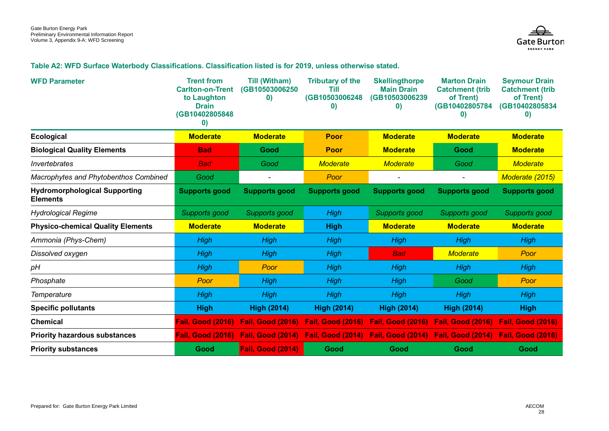

#### **Table A2: WFD Surface Waterbody Classifications. Classification listed is for 2019, unless otherwise stated.**

| <b>WFD Parameter</b>                                    | <b>Trent from</b><br><b>Carlton-on-Trent</b><br>to Laughton<br><b>Drain</b><br>(GB10402805848<br>$\boldsymbol{0}$ | <b>Till (Witham)</b><br>(GB10503006250<br>$\mathbf{0}$ | <b>Tributary of the</b><br>Till<br>(GB10503006248<br>$\mathbf{0}$ | <b>Skellingthorpe</b><br><b>Main Drain</b><br>(GB10503006239<br>$\bf{0}$ | <b>Marton Drain</b><br><b>Catchment (trib)</b><br>of Trent)<br>(GB10402805784<br>$\mathbf{0}$ | <b>Seymour Drain</b><br><b>Catchment (trib)</b><br>of Trent)<br>(GB10402805834<br>$\bf{0}$ |
|---------------------------------------------------------|-------------------------------------------------------------------------------------------------------------------|--------------------------------------------------------|-------------------------------------------------------------------|--------------------------------------------------------------------------|-----------------------------------------------------------------------------------------------|--------------------------------------------------------------------------------------------|
| <b>Ecological</b>                                       | <b>Moderate</b>                                                                                                   | <b>Moderate</b>                                        | Poor                                                              | <b>Moderate</b>                                                          | <b>Moderate</b>                                                                               | <b>Moderate</b>                                                                            |
| <b>Biological Quality Elements</b>                      | <b>Bad</b>                                                                                                        | Good                                                   | <b>Poor</b>                                                       | <b>Moderate</b>                                                          | Good                                                                                          | <b>Moderate</b>                                                                            |
| <b>Invertebrates</b>                                    | <b>Bad</b>                                                                                                        | Good                                                   | <b>Moderate</b>                                                   | <b>Moderate</b>                                                          | Good                                                                                          | <b>Moderate</b>                                                                            |
| Macrophytes and Phytobenthos Combined                   | Good                                                                                                              |                                                        | Poor                                                              |                                                                          |                                                                                               | Moderate (2015)                                                                            |
| <b>Hydromorphological Supporting</b><br><b>Elements</b> | <b>Supports good</b>                                                                                              | Supports good                                          | <b>Supports good</b>                                              | Supports good                                                            | <b>Supports good</b>                                                                          | <b>Supports good</b>                                                                       |
| <b>Hydrological Regime</b>                              | Supports good                                                                                                     | Supports good                                          | <b>High</b>                                                       | Supports good                                                            | Supports good                                                                                 | Supports good                                                                              |
| <b>Physico-chemical Quality Elements</b>                | <b>Moderate</b>                                                                                                   | <b>Moderate</b>                                        | <b>High</b>                                                       | <b>Moderate</b>                                                          | <b>Moderate</b>                                                                               | <b>Moderate</b>                                                                            |
| Ammonia (Phys-Chem)                                     | High                                                                                                              | <b>High</b>                                            | High                                                              | High                                                                     | High                                                                                          | High                                                                                       |
| Dissolved oxygen                                        | High                                                                                                              | <b>High</b>                                            | High                                                              | <b>Bad</b>                                                               | <b>Moderate</b>                                                                               | Poor                                                                                       |
| pH                                                      | <b>High</b>                                                                                                       | Poor                                                   | High                                                              | High                                                                     | High                                                                                          | High                                                                                       |
| Phosphate                                               | Poor                                                                                                              | <b>High</b>                                            | High                                                              | High                                                                     | Good                                                                                          | Poor                                                                                       |
| Temperature                                             | High                                                                                                              | <b>High</b>                                            | High                                                              | High                                                                     | High                                                                                          | <b>High</b>                                                                                |
| <b>Specific pollutants</b>                              | <b>High</b>                                                                                                       | <b>High (2014)</b>                                     | <b>High (2014)</b>                                                | <b>High (2014)</b>                                                       | <b>High (2014)</b>                                                                            | <b>High</b>                                                                                |
| <b>Chemical</b>                                         | <b>Fail, Good (2016)</b>                                                                                          |                                                        | Fail, Good (2016) Fail, Good (2016)                               | Fail, Good (2016) Fail, Good (2016)                                      |                                                                                               | <b>Fail, Good (2016)</b>                                                                   |
| <b>Priority hazardous substances</b>                    | <b>Fail, Good (2016)</b>                                                                                          |                                                        |                                                                   | Fail, Good (2014) Fail, Good (2014) Fail, Good (2014) Fail, Good (2014)  |                                                                                               | <b>Fail, Good (2016)</b>                                                                   |
| <b>Priority substances</b>                              | Good                                                                                                              | <b>Fail, Good (2014)</b>                               | Good                                                              | Good                                                                     | Good                                                                                          | Good                                                                                       |